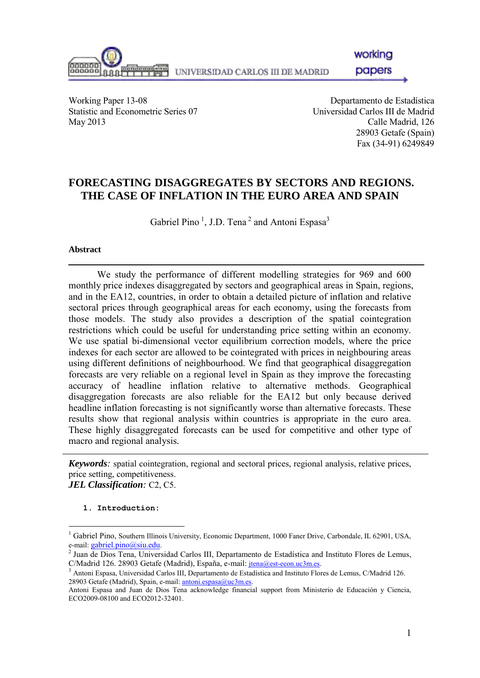UNIVERSIDAD CARLOS III DE MADRID

working

papers

Working Paper 13-08 Departamento de Estadística Statistic and Econometric Series 07 Universidad Carlos III de Madrid May 2013 Calle Madrid, 126

 $0000000 - 0$ 

28903 Getafe (Spain) Fax (34-91) 6249849

# **FORECASTING DISAGGREGATES BY SECTORS AND REGIONS. THE CASE OF INFLATION IN THE EURO AREA AND SPAIN**

Gabriel Pino<sup>1</sup>, J.D. Tena<sup>2</sup> and Antoni Espasa<sup>3</sup>

## **Abstract**

We study the performance of different modelling strategies for 969 and 600 monthly price indexes disaggregated by sectors and geographical areas in Spain, regions, and in the EA12, countries, in order to obtain a detailed picture of inflation and relative sectoral prices through geographical areas for each economy, using the forecasts from those models. The study also provides a description of the spatial cointegration restrictions which could be useful for understanding price setting within an economy. We use spatial bi-dimensional vector equilibrium correction models, where the price indexes for each sector are allowed to be cointegrated with prices in neighbouring areas using different definitions of neighbourhood. We find that geographical disaggregation forecasts are very reliable on a regional level in Spain as they improve the forecasting accuracy of headline inflation relative to alternative methods. Geographical disaggregation forecasts are also reliable for the EA12 but only because derived headline inflation forecasting is not significantly worse than alternative forecasts. These results show that regional analysis within countries is appropriate in the euro area. These highly disaggregated forecasts can be used for competitive and other type of macro and regional analysis*.*

*Keywords:* spatial cointegration, regional and sectoral prices, regional analysis, relative prices, price setting, competitiveness. *JEL Classification:* C2, C5.

## **1. Introduction:**

-

<sup>&</sup>lt;sup>1</sup> Gabriel Pino, Southern Illinois University, Economic Department, 1000 Faner Drive, Carbondale, IL 62901, USA, e-mail: [gabriel.pino@siu.edu](mailto:gabriel.pino@siu.edu).

<sup>&</sup>lt;sup>2</sup> Juan de Dios Tena, Universidad Carlos III, Departamento de Estadística and Instituto Flores de Lemus, C/Madrid 126. 28903 Getafe (Madrid), España, e-mail: [jtena@est-econ.uc3m.es](mailto:jtena@est-econ.uc3m.es).

<sup>&</sup>lt;sup>3</sup> Antoni Espasa, Universidad Carlos III, Departamento de Estadística and Instituto Flores de Lemus, C/Madrid 126. 28903 Getafe (Madrid), Spain, e-mail: [antoni.espasa@uc3m.es.](mailto:antoni.espasa@uc3m.es)

Antoni Espasa and Juan de Dios Tena acknowledge financial support from Ministerio de Educación y Ciencia, ECO2009-08100 and ECO2012-32401.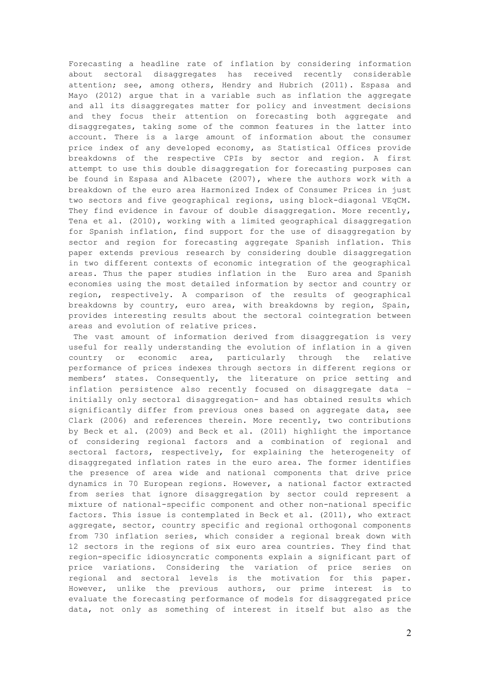Forecasting a headline rate of inflation by considering information about sectoral disaggregates has received recently considerable attention; see, among others, Hendry and Hubrich (2011). Espasa and Mayo (2012) argue that in a variable such as inflation the aggregate and all its disaggregates matter for policy and investment decisions and they focus their attention on forecasting both aggregate and disaggregates, taking some of the common features in the latter into account. There is a large amount of information about the consumer price index of any developed economy, as Statistical Offices provide breakdowns of the respective CPIs by sector and region. A first attempt to use this double disaggregation for forecasting purposes can be found in Espasa and Albacete (2007), where the authors work with a breakdown of the euro area Harmonized Index of Consumer Prices in just two sectors and five geographical regions, using block-diagonal VEqCM. They find evidence in favour of double disaggregation. More recently, Tena et al. (2010), working with a limited geographical disaggregation for Spanish inflation, find support for the use of disaggregation by sector and region for forecasting aggregate Spanish inflation. This paper extends previous research by considering double disaggregation in two different contexts of economic integration of the geographical areas. Thus the paper studies inflation in the Euro area and Spanish economies using the most detailed information by sector and country or region, respectively. A comparison of the results of geographical breakdowns by country, euro area, with breakdowns by region, Spain, provides interesting results about the sectoral cointegration between areas and evolution of relative prices.

The vast amount of information derived from disaggregation is very useful for really understanding the evolution of inflation in a given country or economic area, particularly through the relative performance of prices indexes through sectors in different regions or members' states. Consequently, the literature on price setting and inflation persistence also recently focused on disaggregate data – initially only sectoral disaggregation- and has obtained results which significantly differ from previous ones based on aggregate data, see Clark (2006) and references therein. More recently, two contributions by Beck et al. (2009) and Beck et al. (2011) highlight the importance of considering regional factors and a combination of regional and sectoral factors, respectively, for explaining the heterogeneity of disaggregated inflation rates in the euro area. The former identifies the presence of area wide and national components that drive price dynamics in 70 European regions. However, a national factor extracted from series that ignore disaggregation by sector could represent a mixture of national-specific component and other non-national specific factors. This issue is contemplated in Beck et al. (2011), who extract aggregate, sector, country specific and regional orthogonal components from 730 inflation series, which consider a regional break down with 12 sectors in the regions of six euro area countries. They find that region-specific idiosyncratic components explain a significant part of price variations. Considering the variation of price series on regional and sectoral levels is the motivation for this paper. However, unlike the previous authors, our prime interest is to evaluate the forecasting performance of models for disaggregated price data, not only as something of interest in itself but also as the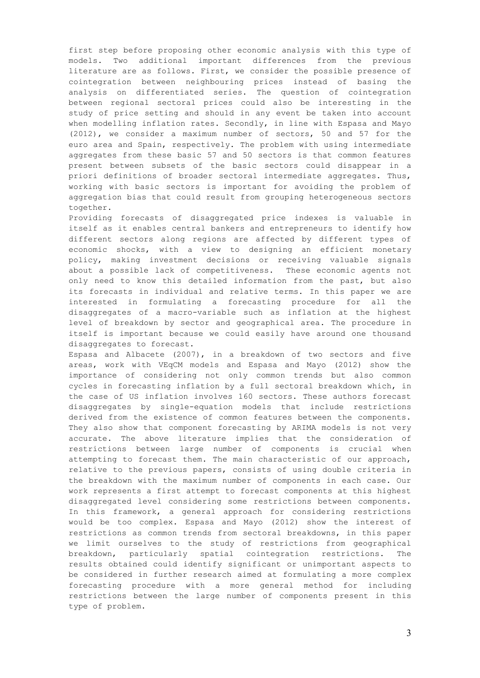first step before proposing other economic analysis with this type of models. Two additional important differences from the previous literature are as follows. First, we consider the possible presence of cointegration between neighbouring prices instead of basing the analysis on differentiated series. The question of cointegration between regional sectoral prices could also be interesting in the study of price setting and should in any event be taken into account when modelling inflation rates. Secondly, in line with Espasa and Mayo (2012), we consider a maximum number of sectors, 50 and 57 for the euro area and Spain, respectively. The problem with using intermediate aggregates from these basic 57 and 50 sectors is that common features present between subsets of the basic sectors could disappear in a priori definitions of broader sectoral intermediate aggregates. Thus, working with basic sectors is important for avoiding the problem of aggregation bias that could result from grouping heterogeneous sectors together.

Providing forecasts of disaggregated price indexes is valuable in itself as it enables central bankers and entrepreneurs to identify how different sectors along regions are affected by different types of economic shocks, with a view to designing an efficient monetary policy, making investment decisions or receiving valuable signals about a possible lack of competitiveness. These economic agents not only need to know this detailed information from the past, but also its forecasts in individual and relative terms. In this paper we are interested in formulating a forecasting procedure for all the disaggregates of a macro-variable such as inflation at the highest level of breakdown by sector and geographical area. The procedure in itself is important because we could easily have around one thousand disaggregates to forecast.

Espasa and Albacete (2007), in a breakdown of two sectors and five areas, work with VEqCM models and Espasa and Mayo (2012) show the importance of considering not only common trends but also common cycles in forecasting inflation by a full sectoral breakdown which, in the case of US inflation involves 160 sectors. These authors forecast disaggregates by single-equation models that include restrictions derived from the existence of common features between the components. They also show that component forecasting by ARIMA models is not very accurate. The above literature implies that the consideration of restrictions between large number of components is crucial when attempting to forecast them. The main characteristic of our approach, relative to the previous papers, consists of using double criteria in the breakdown with the maximum number of components in each case. Our work represents a first attempt to forecast components at this highest disaggregated level considering some restrictions between components. In this framework, a general approach for considering restrictions would be too complex. Espasa and Mayo (2012) show the interest of restrictions as common trends from sectoral breakdowns, in this paper we limit ourselves to the study of restrictions from geographical breakdown, particularly spatial cointegration restrictions. The results obtained could identify significant or unimportant aspects to be considered in further research aimed at formulating a more complex forecasting procedure with a more general method for including restrictions between the large number of components present in this type of problem.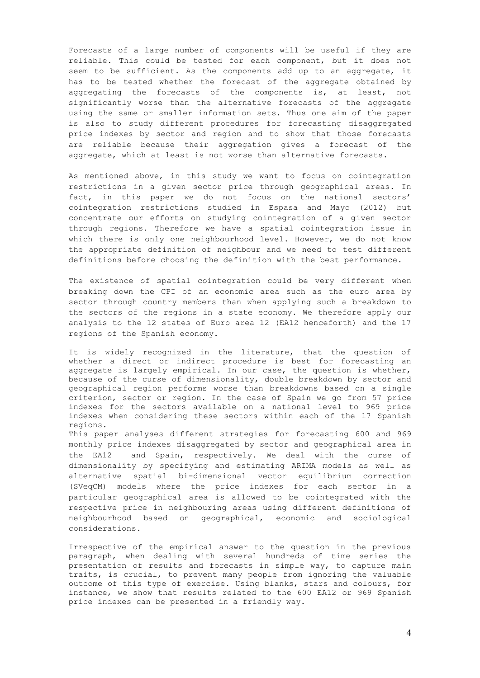Forecasts of a large number of components will be useful if they are reliable. This could be tested for each component, but it does not seem to be sufficient. As the components add up to an aggregate, it has to be tested whether the forecast of the aggregate obtained by aggregating the forecasts of the components is, at least, not significantly worse than the alternative forecasts of the aggregate using the same or smaller information sets. Thus one aim of the paper is also to study different procedures for forecasting disaggregated price indexes by sector and region and to show that those forecasts are reliable because their aggregation gives a forecast of the aggregate, which at least is not worse than alternative forecasts.

As mentioned above, in this study we want to focus on cointegration restrictions in a given sector price through geographical areas. In fact, in this paper we do not focus on the national sectors' cointegration restrictions studied in Espasa and Mayo (2012) but concentrate our efforts on studying cointegration of a given sector through regions. Therefore we have a spatial cointegration issue in which there is only one neighbourhood level. However, we do not know the appropriate definition of neighbour and we need to test different definitions before choosing the definition with the best performance.

The existence of spatial cointegration could be very different when breaking down the CPI of an economic area such as the euro area by sector through country members than when applying such a breakdown to the sectors of the regions in a state economy. We therefore apply our analysis to the 12 states of Euro area 12 (EA12 henceforth) and the 17 regions of the Spanish economy.

It is widely recognized in the literature, that the question of whether a direct or indirect procedure is best for forecasting an aggregate is largely empirical. In our case, the question is whether, because of the curse of dimensionality, double breakdown by sector and geographical region performs worse than breakdowns based on a single criterion, sector or region. In the case of Spain we go from 57 price indexes for the sectors available on a national level to 969 price indexes when considering these sectors within each of the 17 Spanish regions.

This paper analyses different strategies for forecasting 600 and 969 monthly price indexes disaggregated by sector and geographical area in the EA12 and Spain, respectively. We deal with the curse of dimensionality by specifying and estimating ARIMA models as well as alternative spatial bi-dimensional vector equilibrium correction (SVeqCM) models where the price indexes for each sector in a particular geographical area is allowed to be cointegrated with the respective price in neighbouring areas using different definitions of neighbourhood based on geographical, economic and sociological considerations.

Irrespective of the empirical answer to the question in the previous paragraph, when dealing with several hundreds of time series the presentation of results and forecasts in simple way, to capture main traits, is crucial, to prevent many people from ignoring the valuable outcome of this type of exercise. Using blanks, stars and colours, for instance, we show that results related to the 600 EA12 or 969 Spanish price indexes can be presented in a friendly way.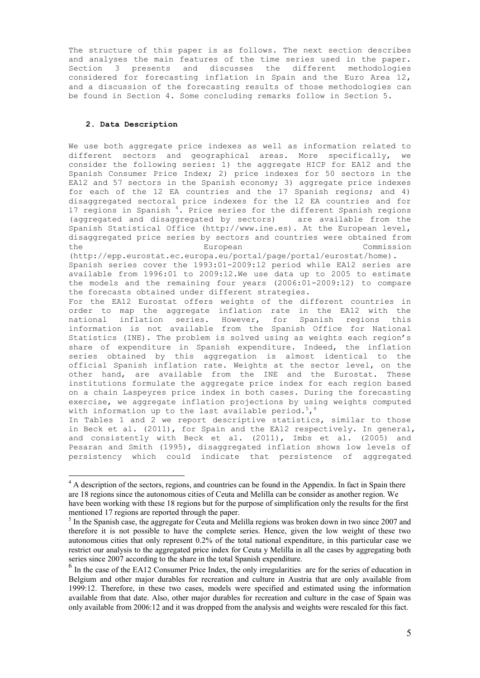The structure of this paper is as follows. The next section describes and analyses the main features of the time series used in the paper. Section 3 presents and discusses the different methodologies considered for forecasting inflation in Spain and the Euro Area 12, and a discussion of the forecasting results of those methodologies can be found in Section 4. Some concluding remarks follow in Section 5.

## **2. Data Description**

-

We use both aggregate price indexes as well as information related to different sectors and geographical areas. More specifically, we consider the following series: 1) the aggregate HICP for EA12 and the Spanish Consumer Price Index; 2) price indexes for 50 sectors in the EA12 and 57 sectors in the Spanish economy; 3) aggregate price indexes for each of the 12 EA countries and the 17 Spanish regions; and 4) disaggregated sectoral price indexes for the 12 EA countries and for 17 regions in Spanish<sup>4</sup>. Price series for the different Spanish regions (aggregated and disaggregated by sectors) are available from the Spanish Statistical Office (http://www.ine.es). At the European level, disaggregated price series by sectors and countries were obtained from the European European Commission

(http://epp.eurostat.ec.europa.eu/portal/page/portal/eurostat/home). Spanish series cover the 1993:01-2009:12 period while EA12 series are available from 1996:01 to 2009:12.We use data up to 2005 to estimate the models and the remaining four years (2006:01-2009:12) to compare the forecasts obtained under different strategies.

For the EA12 Eurostat offers weights of the different countries in order to map the aggregate inflation rate in the EA12 with the national inflation series. However, for Spanish regions this information is not available from the Spanish Office for National Statistics (INE). The problem is solved using as weights each region's share of expenditure in Spanish expenditure. Indeed, the inflation series obtained by this aggregation is almost identical to the official Spanish inflation rate. Weights at the sector level, on the other hand, are available from the INE and the Eurostat. These institutions formulate the aggregate price index for each region based on a chain Laspeyres price index in both cases. During the forecasting exercise, we aggregate inflation projections by using weights computed with information up to the last available period.<sup>5</sup>,  $\delta$ 

In Tables 1 and 2 we report descriptive statistics, similar to those in Beck et al. (2011), for Spain and the EA12 respectively. In general, and consistently with Beck et al. (2011), Imbs et al. (2005) and Pesaran and Smith (1995), disaggregated inflation shows low levels of persistency which could indicate that persistence of aggregated

<sup>&</sup>lt;sup>4</sup> A description of the sectors, regions, and countries can be found in the Appendix. In fact in Spain there are 18 regions since the autonomous cities of Ceuta and Melilla can be consider as another region. We have been working with these 18 regions but for the purpose of simplification only the results for the first mentioned 17 regions are reported through the paper.

<sup>&</sup>lt;sup>5</sup> In the Spanish case, the aggregate for Ceuta and Melilla regions was broken down in two since 2007 and therefore it is not possible to have the complete series. Hence, given the low weight of these two autonomous cities that only represent 0.2% of the total national expenditure, in this particular case we restrict our analysis to the aggregated price index for Ceuta y Melilla in all the cases by aggregating both series since 2007 according to the share in the total Spanish expenditure.

<sup>&</sup>lt;sup>6</sup> In the case of the EA12 Consumer Price Index, the only irregularities are for the series of education in Belgium and other major durables for recreation and culture in Austria that are only available from 1999:12. Therefore, in these two cases, models were specified and estimated using the information available from that date. Also, other major durables for recreation and culture in the case of Spain was only available from 2006:12 and it was dropped from the analysis and weights were rescaled for this fact.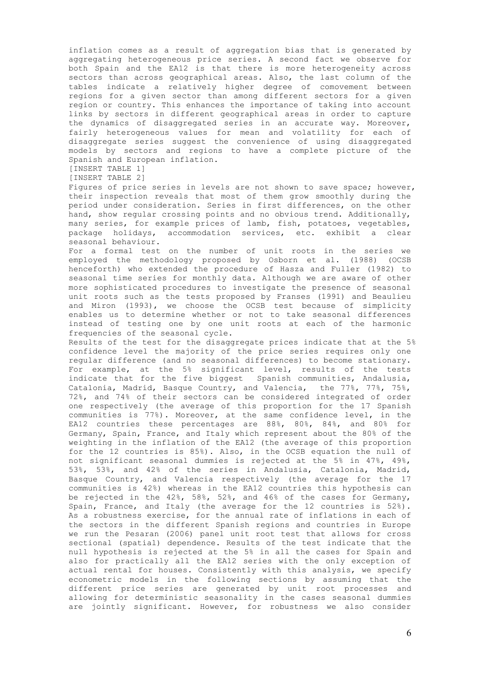inflation comes as a result of aggregation bias that is generated by aggregating heterogeneous price series. A second fact we observe for both Spain and the EA12 is that there is more heterogeneity across sectors than across geographical areas. Also, the last column of the tables indicate a relatively higher degree of comovement between regions for a given sector than among different sectors for a given region or country. This enhances the importance of taking into account links by sectors in different geographical areas in order to capture the dynamics of disaggregated series in an accurate way. Moreover, fairly heterogeneous values for mean and volatility for each of disaggregate series suggest the convenience of using disaggregated models by sectors and regions to have a complete picture of the Spanish and European inflation.

[INSERT TABLE 1]

[INSERT TABLE 2]

Figures of price series in levels are not shown to save space; however, their inspection reveals that most of them grow smoothly during the period under consideration. Series in first differences, on the other hand, show regular crossing points and no obvious trend. Additionally, many series, for example prices of lamb, fish, potatoes, vegetables, package holidays, accommodation services, etc. exhibit a clear seasonal behaviour.

For a formal test on the number of unit roots in the series we employed the methodology proposed by Osborn et al. (1988) (OCSB henceforth) who extended the procedure of Hasza and Fuller (1982) to seasonal time series for monthly data. Although we are aware of other more sophisticated procedures to investigate the presence of seasonal unit roots such as the tests proposed by Franses (1991) and Beaulieu and Miron (1993), we choose the OCSB test because of simplicity enables us to determine whether or not to take seasonal differences instead of testing one by one unit roots at each of the harmonic frequencies of the seasonal cycle.

Results of the test for the disaggregate prices indicate that at the 5% confidence level the majority of the price series requires only one regular difference (and no seasonal differences) to become stationary. For example, at the 5% significant level, results of the tests indicate that for the five biggest Spanish communities, Andalusia, Catalonia, Madrid, Basque Country, and Valencia, the 77%, 77%, 75%, 72%, and 74% of their sectors can be considered integrated of order one respectively (the average of this proportion for the 17 Spanish communities is 77%). Moreover, at the same confidence level, in the EA12 countries these percentages are 88%, 80%, 84%, and 80% for Germany, Spain, France, and Italy which represent about the 80% of the weighting in the inflation of the EA12 (the average of this proportion for the 12 countries is 85%). Also, in the OCSB equation the null of not significant seasonal dummies is rejected at the 5% in 47%, 49%, 53%, 53%, and 42% of the series in Andalusia, Catalonia, Madrid, Basque Country, and Valencia respectively (the average for the 17 communities is 42%) whereas in the EA12 countries this hypothesis can be rejected in the 42%, 58%, 52%, and 46% of the cases for Germany, Spain, France, and Italy (the average for the 12 countries is 52%). As a robustness exercise, for the annual rate of inflations in each of the sectors in the different Spanish regions and countries in Europe we run the Pesaran (2006) panel unit root test that allows for cross sectional (spatial) dependence. Results of the test indicate that the null hypothesis is rejected at the 5% in all the cases for Spain and also for practically all the EA12 series with the only exception of actual rental for houses. Consistently with this analysis, we specify econometric models in the following sections by assuming that the different price series are generated by unit root processes and allowing for deterministic seasonality in the cases seasonal dummies are jointly significant. However, for robustness we also consider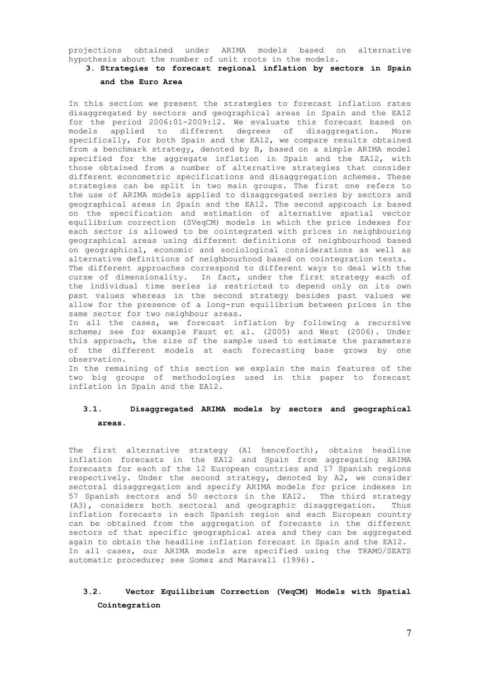projections obtained under ARIMA models based on alternative hypothesis about the number of unit roots in the models.

## **3. Strategies to forecast regional inflation by sectors in Spain**

## **and the Euro Area**

In this section we present the strategies to forecast inflation rates disaggregated by sectors and geographical areas in Spain and the EA12 for the period 2006:01-2009:12. We evaluate this forecast based on models applied to different degrees of disaggregation. More specifically, for both Spain and the EA12, we compare results obtained from a benchmark strategy, denoted by B, based on a simple ARIMA model specified for the aggregate inflation in Spain and the EA12, with those obtained from a number of alternative strategies that consider different econometric specifications and disaggregation schemes. These strategies can be split in two main groups. The first one refers to the use of ARIMA models applied to disaggregated series by sectors and geographical areas in Spain and the EA12. The second approach is based on the specification and estimation of alternative spatial vector equilibrium correction (SVeqCM) models in which the price indexes for each sector is allowed to be cointegrated with prices in neighbouring geographical areas using different definitions of neighbourhood based on geographical, economic and sociological considerations as well as alternative definitions of neighbourhood based on cointegration tests. The different approaches correspond to different ways to deal with the curse of dimensionality. In fact, under the first strategy each of the individual time series is restricted to depend only on its own past values whereas in the second strategy besides past values we allow for the presence of a long-run equilibrium between prices in the same sector for two neighbour areas.

In all the cases, we forecast inflation by following a recursive scheme; see for example Faust et al. (2005) and West (2006). Under this approach, the size of the sample used to estimate the parameters of the different models at each forecasting base grows by one observation.

In the remaining of this section we explain the main features of the two big groups of methodologies used in this paper to forecast inflation in Spain and the EA12.

# **3.1. Disaggregated ARIMA models by sectors and geographical areas.**

The first alternative strategy (A1 henceforth), obtains headline inflation forecasts in the EA12 and Spain from aggregating ARIMA forecasts for each of the 12 European countries and 17 Spanish regions respectively. Under the second strategy, denoted by A2, we consider sectoral disaggregation and specify ARIMA models for price indexes in 57 Spanish sectors and 50 sectors in the EA12. The third strategy (A3), considers both sectoral and geographic disaggregation. Thus inflation forecasts in each Spanish region and each European country can be obtained from the aggregation of forecasts in the different sectors of that specific geographical area and they can be aggregated again to obtain the headline inflation forecast in Spain and the EA12. In all cases, our ARIMA models are specified using the TRAMO/SEATS automatic procedure; see Gomez and Maravall (1996).

# **3.2. Vector Equilibrium Correction (VeqCM) Models with Spatial Cointegration**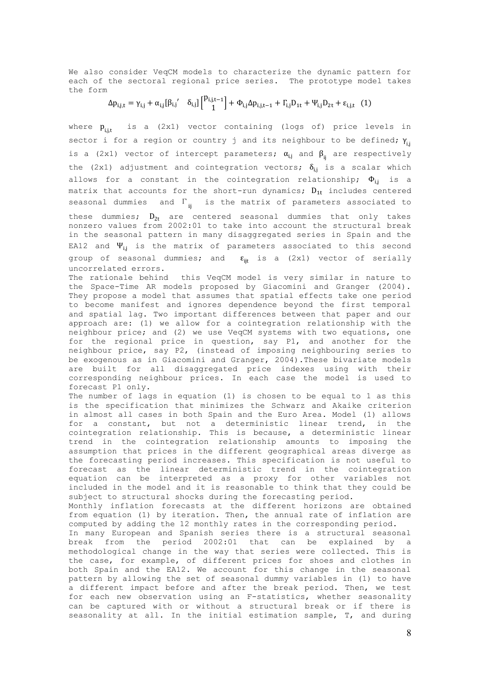We also consider VeqCM models to characterize the dynamic pattern for each of the sectoral regional price series. The prototype model takes the form

$$
\Delta p_{i,j,t} = \gamma_{i,j} + \alpha_{i,j} [\beta_{i,j}] \begin{bmatrix} p_{i,j,t-1} \\ 1 \end{bmatrix} + \Phi_{i,j} \Delta p_{i,j,t-1} + \Gamma_{i,j} D_{1t} + \Psi_{i,j} D_{2t} + \varepsilon_{i,j,t} (1)
$$

where  $p_{\text{int}}$  is a (2x1) vector containing (logs of) price levels in sector i for a region or country j and its neighbour to be defined;  $\gamma_{\text{j}}$ is a (2x1) vector of intercept parameters;  $\alpha_{i,j}$  and  $\beta_{ii}$  are respectively the (2x1) adjustment and cointegration vectors;  $\delta_{i,j}$  is a scalar which allows for a constant in the cointegration relationship;  $\Phi_{ii}$  is a matrix that accounts for the short-run dynamics;  $D_{1t}$  includes centered seasonal dummies and  $\Gamma_{ij}$  is the matrix of parameters associated to these dummies;  $D_{2t}$  are centered seasonal dummies that only takes nonzero values from 2002:01 to take into account the structural break in the seasonal pattern in many disaggregated series in Spain and the EA12 and  $\Psi_{i,j}$  is the matrix of parameters associated to this second group of seasonal dummies; and  $\varepsilon_{ijt}$  is a (2x1) vector of serially uncorrelated errors.

The rationale behind this VeqCM model is very similar in nature to the Space-Time AR models proposed by Giacomini and Granger (2004). They propose a model that assumes that spatial effects take one period to become manifest and ignores dependence beyond the first temporal and spatial lag. Two important differences between that paper and our approach are: (1) we allow for a cointegration relationship with the neighbour price; and (2) we use VeqCM systems with two equations, one for the regional price in question, say P1, and another for the neighbour price, say P2, (instead of imposing neighbouring series to be exogenous as in Giacomini and Granger, 2004).These bivariate models are built for all disaggregated price indexes using with their corresponding neighbour prices. In each case the model is used to forecast P1 only.

The number of lags in equation (1) is chosen to be equal to 1 as this is the specification that minimizes the Schwarz and Akaike criterion in almost all cases in both Spain and the Euro Area. Model (1) allows for a constant, but not a deterministic linear trend, in the cointegration relationship. This is because, a deterministic linear trend in the cointegration relationship amounts to imposing the assumption that prices in the different geographical areas diverge as the forecasting period increases. This specification is not useful to forecast as the linear deterministic trend in the cointegration equation can be interpreted as a proxy for other variables not included in the model and it is reasonable to think that they could be subject to structural shocks during the forecasting period.

Monthly inflation forecasts at the different horizons are obtained from equation (1) by iteration. Then, the annual rate of inflation are computed by adding the 12 monthly rates in the corresponding period.

In many European and Spanish series there is a structural seasonal break from the period 2002:01 that can be explained by a methodological change in the way that series were collected. This is the case, for example, of different prices for shoes and clothes in both Spain and the EA12. We account for this change in the seasonal pattern by allowing the set of seasonal dummy variables in (1) to have a different impact before and after the break period. Then, we test for each new observation using an F-statistics, whether seasonality can be captured with or without a structural break or if there is seasonality at all. In the initial estimation sample, T, and during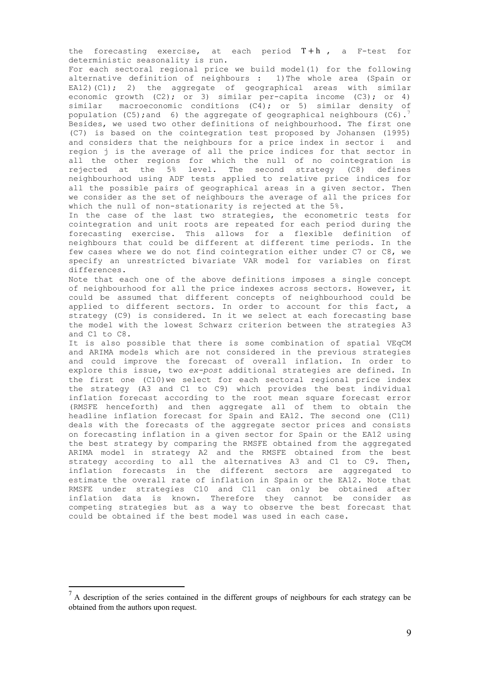the forecasting exercise, at each period  $T+h$ , a F-test for deterministic seasonality is run.

For each sectoral regional price we build model(1) for the following alternative definition of neighbours : 1)The whole area (Spain or EA12)(C1); 2) the aggregate of geographical areas with similar economic growth  $(C2)$ ; or 3) similar per-capita income  $(C3)$ ; or 4) similar macroeconomic conditions (C4); or 5) similar density of population (C5); and 6) the aggregate of geographical neighbours (C6).<sup>7</sup> Besides, we used two other definitions of neighbourhood. The first one (C7) is based on the cointegration test proposed by Johansen (1995) and considers that the neighbours for a price index in sector i and region j is the average of all the price indices for that sector in all the other regions for which the null of no cointegration is rejected at the 5% level. The second strategy (C8) defines neighbourhood using ADF tests applied to relative price indices for all the possible pairs of geographical areas in a given sector. Then we consider as the set of neighbours the average of all the prices for which the null of non-stationarity is rejected at the 5%.

In the case of the last two strategies, the econometric tests for cointegration and unit roots are repeated for each period during the forecasting exercise. This allows for a flexible definition of neighbours that could be different at different time periods. In the few cases where we do not find cointegration either under C7 or C8, we specify an unrestricted bivariate VAR model for variables on first differences.

Note that each one of the above definitions imposes a single concept of neighbourhood for all the price indexes across sectors. However, it could be assumed that different concepts of neighbourhood could be applied to different sectors. In order to account for this fact, a strategy (C9) is considered. In it we select at each forecasting base the model with the lowest Schwarz criterion between the strategies A3 and C1 to C8.

It is also possible that there is some combination of spatial VEqCM and ARIMA models which are not considered in the previous strategies and could improve the forecast of overall inflation. In order to explore this issue, two *ex-post* additional strategies are defined. In the first one (C10)we select for each sectoral regional price index the strategy (A3 and C1 to C9) which provides the best individual inflation forecast according to the root mean square forecast error (RMSFE henceforth) and then aggregate all of them to obtain the headline inflation forecast for Spain and EA12. The second one (C11) deals with the forecasts of the aggregate sector prices and consists on forecasting inflation in a given sector for Spain or the EA12 using the best strategy by comparing the RMSFE obtained from the aggregated ARIMA model in strategy A2 and the RMSFE obtained from the best strategy according to all the alternatives A3 and C1 to C9. Then, inflation forecasts in the different sectors are aggregated to estimate the overall rate of inflation in Spain or the EA12. Note that RMSFE under strategies C10 and C11 can only be obtained after inflation data is known. Therefore they cannot be consider as competing strategies but as a way to observe the best forecast that could be obtained if the best model was used in each case.

<u>.</u>

 $<sup>7</sup>$  A description of the series contained in the different groups of neighbours for each strategy can be</sup> obtained from the authors upon request.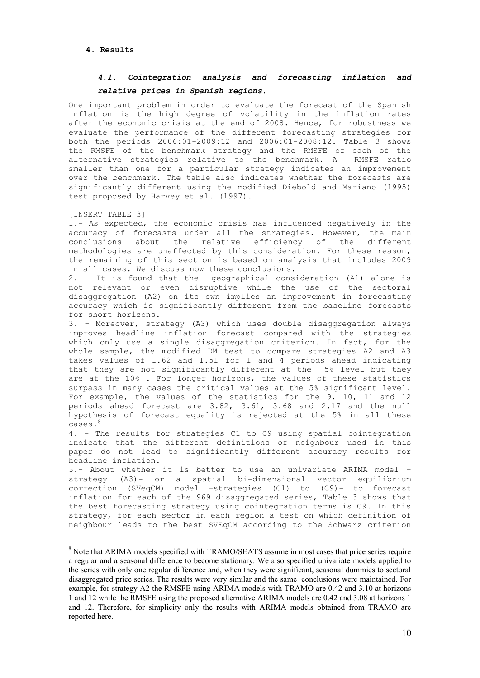# *4.1. Cointegration analysis and forecasting inflation and relative prices in Spanish regions.*

One important problem in order to evaluate the forecast of the Spanish inflation is the high degree of volatility in the inflation rates after the economic crisis at the end of 2008. Hence, for robustness we evaluate the performance of the different forecasting strategies for both the periods 2006:01-2009:12 and 2006:01-2008:12. Table 3 shows the RMSFE of the benchmark strategy and the RMSFE of each of the alternative strategies relative to the benchmark. A RMSFE ratio smaller than one for a particular strategy indicates an improvement over the benchmark. The table also indicates whether the forecasts are significantly different using the modified Diebold and Mariano (1995) test proposed by Harvey et al. (1997).

#### [INSERT TABLE 3]

-

1.- As expected, the economic crisis has influenced negatively in the accuracy of forecasts under all the strategies. However, the main conclusions about the relative efficiency of the different methodologies are unaffected by this consideration. For these reason, the remaining of this section is based on analysis that includes 2009 in all cases. We discuss now these conclusions.

2. - It is found that the geographical consideration (A1) alone is not relevant or even disruptive while the use of the sectoral disaggregation (A2) on its own implies an improvement in forecasting accuracy which is significantly different from the baseline forecasts for short horizons.

3. - Moreover, strategy (A3) which uses double disaggregation always improves headline inflation forecast compared with the strategies which only use a single disaggregation criterion. In fact, for the whole sample, the modified DM test to compare strategies A2 and A3 takes values of 1.62 and 1.51 for 1 and 4 periods ahead indicating that they are not significantly different at the 5% level but they are at the 10% . For longer horizons, the values of these statistics surpass in many cases the critical values at the 5% significant level. For example, the values of the statistics for the 9, 10, 11 and 12 periods ahead forecast are 3.82, 3.61, 3.68 and 2.17 and the null hypothesis of forecast equality is rejected at the 5% in all these cases.<sup>8</sup>

4. - The results for strategies C1 to C9 using spatial cointegration indicate that the different definitions of neighbour used in this paper do not lead to significantly different accuracy results for headline inflation.

5.- About whether it is better to use an univariate ARIMA model – strategy (A3)- or a spatial bi-dimensional vector equilibrium correction (SVeqCM) model –strategies (C1) to (C9)- to forecast inflation for each of the 969 disaggregated series, Table 3 shows that the best forecasting strategy using cointegration terms is C9. In this strategy, for each sector in each region a test on which definition of neighbour leads to the best SVEqCM according to the Schwarz criterion

<sup>&</sup>lt;sup>8</sup> Note that ARIMA models specified with TRAMO/SEATS assume in most cases that price series require a regular and a seasonal difference to become stationary. We also specified univariate models applied to the series with only one regular difference and, when they were significant, seasonal dummies to sectoral disaggregated price series. The results were very similar and the same conclusions were maintained. For example, for strategy A2 the RMSFE using ARIMA models with TRAMO are 0.42 and 3.10 at horizons 1 and 12 while the RMSFE using the proposed alternative ARIMA models are 0.42 and 3.08 at horizons 1 and 12. Therefore, for simplicity only the results with ARIMA models obtained from TRAMO are reported here.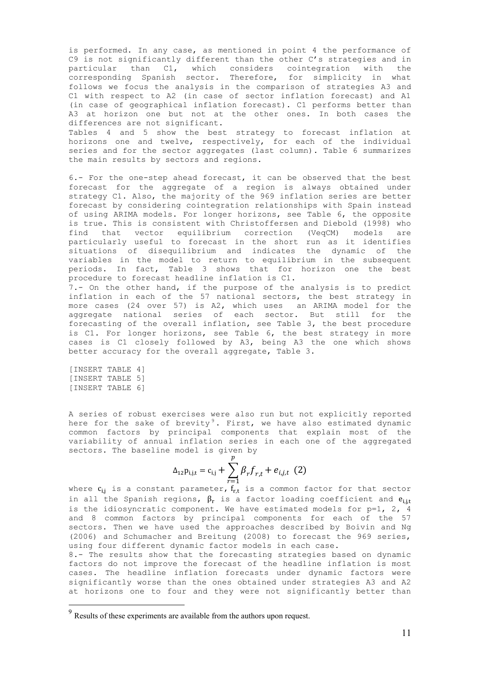is performed. In any case, as mentioned in point 4 the performance of C9 is not significantly different than the other C's strategies and in particular than C1, which considers cointegration with the corresponding Spanish sector. Therefore, for simplicity in what follows we focus the analysis in the comparison of strategies A3 and C1 with respect to A2 (in case of sector inflation forecast) and A1 (in case of geographical inflation forecast). C1 performs better than A3 at horizon one but not at the other ones. In both cases the differences are not significant. Tables 4 and 5 show the best strategy to forecast inflation at horizons one and twelve, respectively, for each of the individual series and for the sector aggregates (last column). Table 6 summarizes

the main results by sectors and regions.

6.- For the one-step ahead forecast, it can be observed that the best forecast for the aggregate of a region is always obtained under strategy C1. Also, the majority of the 969 inflation series are better forecast by considering cointegration relationships with Spain instead of using ARIMA models. For longer horizons, see Table 6, the opposite is true. This is consistent with Christoffersen and Diebold (1998) who find that vector equilibrium correction (VeqCM) models are particularly useful to forecast in the short run as it identifies situations of disequilibrium and indicates the dynamic of the variables in the model to return to equilibrium in the subsequent periods. In fact, Table 3 shows that for horizon one the best procedure to forecast headline inflation is C1. 7.- On the other hand, if the purpose of the analysis is to predict

inflation in each of the 57 national sectors, the best strategy in more cases (24 over 57) is A2, which uses an ARIMA model for the aggregate national series of each sector. But still for the forecasting of the overall inflation, see Table 3, the best procedure is C1. For longer horizons, see Table 6, the best strategy in more cases is C1 closely followed by A3, being A3 the one which shows better accuracy for the overall aggregate, Table 3.

[INSERT TABLE 4] [INSERT TABLE 5] [INSERT TABLE 6]

<u>.</u>

A series of robust exercises were also run but not explicitly reported here for the sake of brevity $^9$ . First, we have also estimated dynamic common factors by principal components that explain most of the variability of annual inflation series in each one of the aggregated sectors. The baseline model is given by

$$
\Delta_{12} p_{i,j,t} = c_{i,j} + \sum_{r=1}^{p} \beta_r f_{r,t} + e_{i,j,t} \tag{2}
$$

where  $c_{i,j}$  is a constant parameter,  $f_{r,t}$  is a common factor for that sector in all the Spanish regions,  $\beta_r$  is a factor loading coefficient and  $e_{i,j,t}$ is the idiosyncratic component. We have estimated models for  $p=1$ , 2, 4 and 8 common factors by principal components for each of the 57 sectors. Then we have used the approaches described by Boivin and Ng (2006) and Schumacher and Breitung (2008) to forecast the 969 series, using four different dynamic factor models in each case.

8.- The results show that the forecasting strategies based on dynamic factors do not improve the forecast of the headline inflation is most cases. The headline inflation forecasts under dynamic factors were significantly worse than the ones obtained under strategies A3 and A2 at horizons one to four and they were not significantly better than

 $9<sup>9</sup>$  Results of these experiments are available from the authors upon request.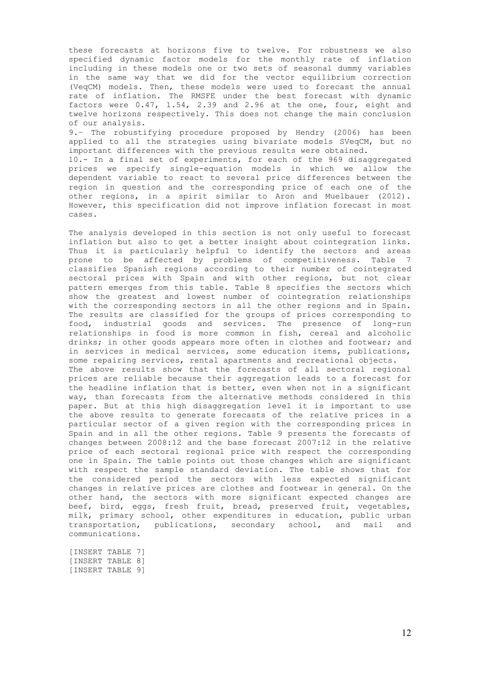these forecasts at horizons five to twelve. For robustness we also specified dynamic factor models for the monthly rate of inflation including in these models one or two sets of seasonal dummy variables in the same way that we did for the vector equilibrium correction (VeqCM) models. Then, these models were used to forecast the annual rate of inflation. The RMSFE under the best forecast with dynamic factors were 0.47, 1.54, 2.39 and 2.96 at the one, four, eight and twelve horizons respectively. This does not change the main conclusion of our analysis. 9.– The robustifying procedure proposed by Hendry (2006) has been

applied to all the strategies using bivariate models SVeqCM, but no important differences with the previous results were obtained. 10.- In a final set of experiments, for each of the 969 disaggregated prices we specify single-equation models in which we allow the dependent variable to react to several price differences between the region in question and the corresponding price of each one of the

other regions, in a spirit similar to Aron and Muelbauer (2012). However, this specification did not improve inflation forecast in most cases.

The analysis developed in this section is not only useful to forecast inflation but also to get a better insight about cointegration links. Thus it is particularly helpful to identify the sectors and areas prone to be affected by problems of competitiveness. Table 7 classifies Spanish regions according to their number of cointegrated sectoral prices with Spain and with other regions, but not clear pattern emerges from this table. Table 8 specifies the sectors which show the greatest and lowest number of cointegration relationships with the corresponding sectors in all the other regions and in Spain. The results are classified for the groups of prices corresponding to food, industrial goods and services. The presence of long-run relationships in food is more common in fish, cereal and alcoholic drinks; in other goods appears more often in clothes and footwear; and in services in medical services, some education items, publications, some repairing services, rental apartments and recreational objects. The above results show that the forecasts of all sectoral regional prices are reliable because their aggregation leads to a forecast for the headline inflation that is better, even when not in a significant way, than forecasts from the alternative methods considered in this paper. But at this high disaggregation level it is important to use the above results to generate forecasts of the relative prices in a particular sector of a given region with the corresponding prices in Spain and in all the other regions. Table 9 presents the forecasts of changes between 2008:12 and the base forecast 2007:12 in the relative price of each sectoral regional price with respect the corresponding one in Spain. The table points out those changes which are significant with respect the sample standard deviation. The table shows that for the considered period the sectors with less expected significant changes in relative prices are clothes and footwear in general. On the other hand, the sectors with more significant expected changes are beef, bird, eggs, fresh fruit, bread, preserved fruit, vegetables, milk, primary school, other expenditures in education, public urban transportation, publications, secondary school, and mail and communications.

[INSERT TABLE 7] [INSERT TABLE 8] [INSERT TABLE 9]

12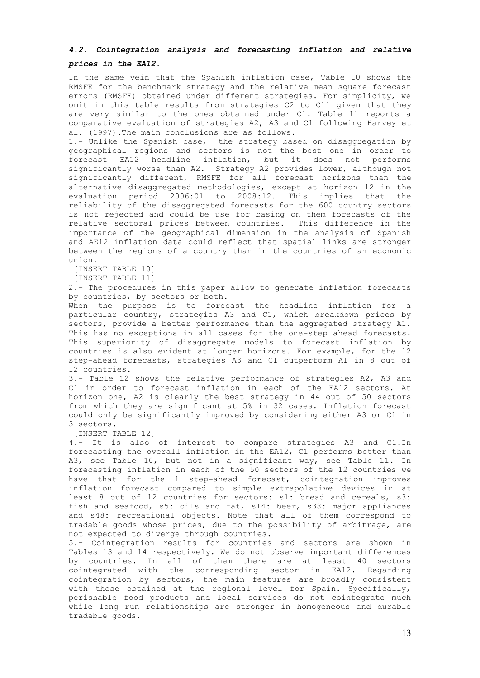# *4.2. Cointegration analysis and forecasting inflation and relative*

*prices in the EA12.*

In the same vein that the Spanish inflation case, Table 10 shows the RMSFE for the benchmark strategy and the relative mean square forecast errors (RMSFE) obtained under different strategies. For simplicity, we omit in this table results from strategies C2 to C11 given that they are very similar to the ones obtained under C1. Table 11 reports a comparative evaluation of strategies A2, A3 and C1 following Harvey et al. (1997).The main conclusions are as follows.

1.- Unlike the Spanish case, the strategy based on disaggregation by geographical regions and sectors is not the best one in order to forecast EA12 headline inflation, but it does not performs significantly worse than A2. Strategy A2 provides lower, although not significantly different, RMSFE for all forecast horizons than the alternative disaggregated methodologies, except at horizon 12 in the evaluation period 2006:01 to 2008:12. This implies that the reliability of the disaggregated forecasts for the 600 country sectors is not rejected and could be use for basing on them forecasts of the relative sectoral prices between countries. This difference in the importance of the geographical dimension in the analysis of Spanish and AE12 inflation data could reflect that spatial links are stronger between the regions of a country than in the countries of an economic union.

[INSERT TABLE 10]

[INSERT TABLE 11]

2.- The procedures in this paper allow to generate inflation forecasts by countries, by sectors or both.

When the purpose is to forecast the headline inflation for a particular country, strategies A3 and C1, which breakdown prices by sectors, provide a better performance than the aggregated strategy A1. This has no exceptions in all cases for the one-step ahead forecasts. This superiority of disaggregate models to forecast inflation by countries is also evident at longer horizons. For example, for the 12 step-ahead forecasts, strategies A3 and C1 outperform A1 in 8 out of 12 countries.

3.- Table 12 shows the relative performance of strategies A2, A3 and C1 in order to forecast inflation in each of the EA12 sectors. At horizon one, A2 is clearly the best strategy in 44 out of 50 sectors from which they are significant at 5% in 32 cases. Inflation forecast could only be significantly improved by considering either A3 or C1 in 3 sectors.

[INSERT TABLE 12]

4.- It is also of interest to compare strategies A3 and C1.In forecasting the overall inflation in the EA12, C1 performs better than A3, see Table 10, but not in a significant way, see Table 11. In forecasting inflation in each of the 50 sectors of the 12 countries we have that for the 1 step-ahead forecast, cointegration improves inflation forecast compared to simple extrapolative devices in at least 8 out of 12 countries for sectors: s1: bread and cereals, s3: fish and seafood, s5: oils and fat, s14: beer, s38: major appliances and s48: recreational objects. Note that all of them correspond to tradable goods whose prices, due to the possibility of arbitrage, are not expected to diverge through countries.

5.- Cointegration results for countries and sectors are shown in Tables 13 and 14 respectively. We do not observe important differences by countries. In all of them there are at least 40 sectors cointegrated with the corresponding sector in EA12. Regarding cointegration by sectors, the main features are broadly consistent with those obtained at the regional level for Spain. Specifically, perishable food products and local services do not cointegrate much while long run relationships are stronger in homogeneous and durable tradable goods.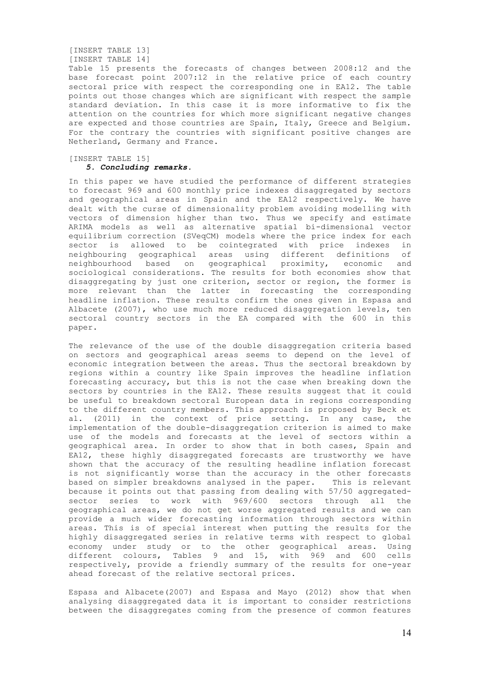## [INSERT TABLE 13]

[INSERT TABLE 14]

Table 15 presents the forecasts of changes between 2008:12 and the base forecast point 2007:12 in the relative price of each country sectoral price with respect the corresponding one in EA12. The table points out those changes which are significant with respect the sample standard deviation. In this case it is more informative to fix the attention on the countries for which more significant negative changes are expected and those countries are Spain, Italy, Greece and Belgium. For the contrary the countries with significant positive changes are Netherland, Germany and France.

#### [INSERT TABLE 15] *5. Concluding remarks.*

In this paper we have studied the performance of different strategies to forecast 969 and 600 monthly price indexes disaggregated by sectors and geographical areas in Spain and the EA12 respectively. We have dealt with the curse of dimensionality problem avoiding modelling with vectors of dimension higher than two. Thus we specify and estimate ARIMA models as well as alternative spatial bi-dimensional vector equilibrium correction (SVeqCM) models where the price index for each sector is allowed to be cointegrated with price indexes in neighbouring geographical areas using different definitions of neighbourhood based on geographical proximity, economic and sociological considerations. The results for both economies show that disaggregating by just one criterion, sector or region, the former is more relevant than the latter in forecasting the corresponding headline inflation. These results confirm the ones given in Espasa and Albacete (2007), who use much more reduced disaggregation levels, ten sectoral country sectors in the EA compared with the 600 in this paper.

The relevance of the use of the double disaggregation criteria based on sectors and geographical areas seems to depend on the level of economic integration between the areas. Thus the sectoral breakdown by regions within a country like Spain improves the headline inflation forecasting accuracy, but this is not the case when breaking down the sectors by countries in the EA12. These results suggest that it could be useful to breakdown sectoral European data in regions corresponding to the different country members. This approach is proposed by Beck et al. (2011) in the context of price setting. In any case, the implementation of the double-disaggregation criterion is aimed to make use of the models and forecasts at the level of sectors within a geographical area. In order to show that in both cases, Spain and EA12, these highly disaggregated forecasts are trustworthy we have shown that the accuracy of the resulting headline inflation forecast is not significantly worse than the accuracy in the other forecasts based on simpler breakdowns analysed in the paper. This is relevant because it points out that passing from dealing with 57/50 aggregatedsector series to work with 969/600 sectors through all the geographical areas, we do not get worse aggregated results and we can provide a much wider forecasting information through sectors within areas. This is of special interest when putting the results for the highly disaggregated series in relative terms with respect to global economy under study or to the other geographical areas. Using different colours, Tables 9 and 15, with 969 and 600 cells respectively, provide a friendly summary of the results for one-year ahead forecast of the relative sectoral prices.

Espasa and Albacete(2007) and Espasa and Mayo (2012) show that when analysing disaggregated data it is important to consider restrictions between the disaggregates coming from the presence of common features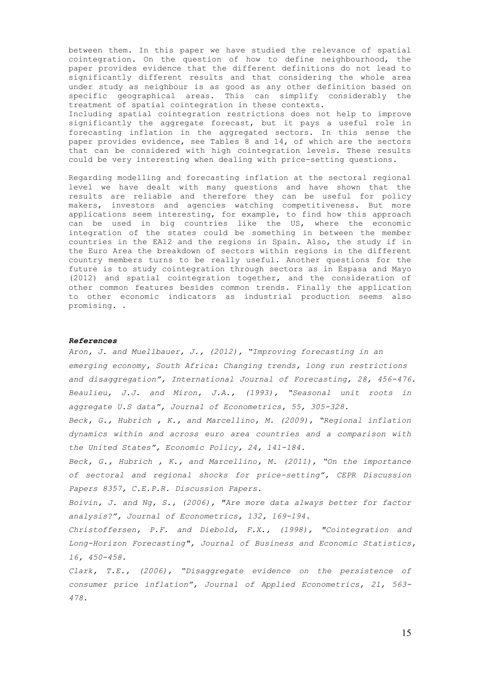between them. In this paper we have studied the relevance of spatial cointegration. On the question of how to define neighbourhood, the paper provides evidence that the different definitions do not lead to significantly different results and that considering the whole area under study as neighbour is as good as any other definition based on specific geographical areas. This can simplify considerably the treatment of spatial cointegration in these contexts. Including spatial cointegration restrictions does not help to improve significantly the aggregate forecast, but it pays a useful role in forecasting inflation in the aggregated sectors. In this sense the paper provides evidence, see Tables 8 and 14, of which are the sectors that can be considered with high cointegration levels. These results could be very interesting when dealing with price-setting questions.

Regarding modelling and forecasting inflation at the sectoral regional level we have dealt with many questions and have shown that the results are reliable and therefore they can be useful for policy makers, investors and agencies watching competitiveness. But more applications seem interesting, for example, to find how this approach can be used in big countries like the US, where the economic integration of the states could be something in between the member countries in the EA12 and the regions in Spain. Also, the study if in the Euro Area the breakdown of sectors within regions in the different country members turns to be really useful. Another questions for the future is to study cointegration through sectors as in Espasa and Mayo (2012) and spatial cointegration together, and the consideration of other common features besides common trends. Finally the application to other economic indicators as industrial production seems also promising. .

#### *References*

*Aron, J. and Muellbauer, J., (2012), "Improving forecasting in an emerging economy, South Africa: Changing trends, long run restrictions and disaggregation", International Journal of Forecasting, 28, 456-476. Beaulieu, J.J. and Miron, J.A., (1993), "Seasonal unit roots in aggregate U.S data", Journal of Econometrics, 55, 305-328.*

*Beck, G., Hubrich , K., and Marcellino, M. (2009), "Regional inflation dynamics within and across euro area countries and a comparison with the United States", Economic Policy, 24, 141-184.*

*Beck, G., Hubrich , K., and Marcellino, M. (2011), "On the importance of sectoral and regional shocks for price-setting", CEPR Discussion Papers 8357, C.E.P.R. Discussion Papers.*

*Boivin, J. and Ng, S., (2006), ["Are more data always better for factor](http://ideas.repec.org/a/eee/econom/v132y2006i1p169-194.html)  [analysis?](http://ideas.repec.org/a/eee/econom/v132y2006i1p169-194.html)", [Journal of Econometrics,](http://ideas.repec.org/s/eee/econom.html) 132, 169-194.*

*Christoffersen, P.F. and Diebold, F.X., (1998), "Cointegration and Long-Horizon Forecasting", Journal of Business and Economic Statistics, 16, 450-458.*

*Clark, T.E., (2006), "Disaggregate evidence on the persistence of consumer price inflation", Journal of Applied Econometrics, 21, 563- 478.*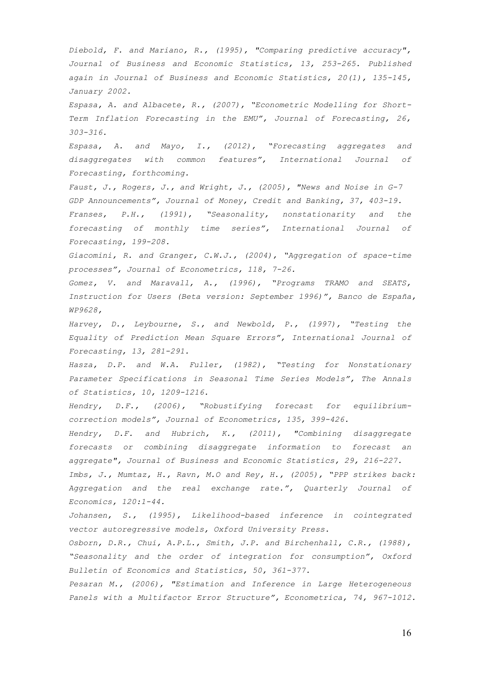*Diebold, F. and Mariano, R., (1995), "Comparing predictive accuracy", Journal of Business and Economic Statistics, 13, 253-265. Published again in Journal of Business and Economic Statistics, 20(1), 135-145, January 2002. Espasa, A. and Albacete, R., (2007), "Econometric Modelling for Short-Term Inflation Forecasting in the EMU", Journal of Forecasting, 26, 303-316. Espasa, A. and Mayo, I., (2012), "Forecasting aggregates and disaggregates with common features", International Journal of Forecasting, forthcoming. Faust, J., Rogers, J., and Wright, J., (2005), ["News and Noise in G-7](http://ideas.repec.org/a/mcb/jmoncb/v37y2005i3p403-19.html)  [GDP Announcements](http://ideas.repec.org/a/mcb/jmoncb/v37y2005i3p403-19.html)", [Journal of Money, Credit and Banking,](http://ideas.repec.org/s/mcb/jmoncb.html) 37, 403-19. Franses, P.H., (1991), "Seasonality, nonstationarity and the forecasting of monthly time series", International Journal of Forecasting, 199-208. Giacomini, R. and Granger, C.W.J., (2004), "Aggregation of space-time processes", Journal of Econometrics, 118, 7-26. Gomez, V. and Maravall, A., (1996), "Programs TRAMO and SEATS, Instruction for Users (Beta version: September 1996)", Banco de España, WP9628, Harvey, D., Leybourne, S., and Newbold, P., (1997), "Testing the Equality of Prediction Mean Square Errors", International Journal of Forecasting, 13, 281-291. Hasza, D.P. and W.A. Fuller, (1982), "Testing for Nonstationary Parameter Specifications in Seasonal Time Series Models", The Annals of Statistics, 10, 1209-1216. Hendry, D.F., (2006), "Robustifying forecast for equilibriumcorrection models", Journal of Econometrics, 135, 399-426. Hendry, D.F. and Hubrich, K., (2011), "Combining disaggregate forecasts or combining disaggregate information to forecast an aggregate", Journal of Business and Economic Statistics, 29, 216-227. Imbs, J., Mumtaz, H., Ravn, M.O and Rey, H., (2005), "PPP strikes back: Aggregation and the real exchange rate.", Quarterly Journal of Economics, 120:1-44. Johansen, S., (1995), Likelihood-based inference in cointegrated vector autoregressive models, Oxford University Press. Osborn, D.R., Chui, A.P.L., Smith, J.P. and Birchenhall, C.R., (1988), "Seasonality and the order of integration for consumption", Oxford Bulletin of Economics and Statistics, 50, 361-377. Pesaran M., (2006), ["Estimation and Inference in Large Heterogeneous](http://ideas.repec.org/a/ecm/emetrp/v74y2006i4p967-1012.html)  [Panels with a Multifactor Error Structure](http://ideas.repec.org/a/ecm/emetrp/v74y2006i4p967-1012.html)", [Econometrica,](http://ideas.repec.org/s/ecm/emetrp.html) 74, 967-1012.*

16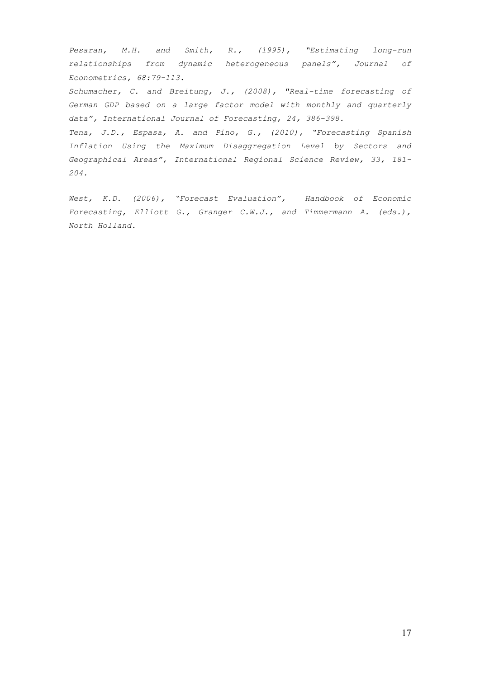*Pesaran, M.H. and Smith, R., (1995), "Estimating long-run relationships from dynamic heterogeneous panels", Journal of Econometrics, 68:79-113. Schumacher, C. and Breitung, J., (2008), ["Real-time forecasting of](http://ideas.repec.org/a/eee/intfor/v24y2008i3p386-398.html)  [German GDP based on a large factor model with monthly and quarterly](http://ideas.repec.org/a/eee/intfor/v24y2008i3p386-398.html)  [data](http://ideas.repec.org/a/eee/intfor/v24y2008i3p386-398.html)", [International Journal of Forecasting,](http://ideas.repec.org/s/eee/intfor.html) 24, 386-398. Tena, J.D., Espasa, A. and Pino, G., (2010), "Forecasting Spanish Inflation Using the Maximum Disaggregation Level by Sectors and Geographical Areas", International Regional Science Review, 33, 181- 204.*

*West, K.D. (2006), "Forecast Evaluation", Handbook of Economic Forecasting, Elliott G., Granger C.W.J., and Timmermann A. (eds.), North Holland*.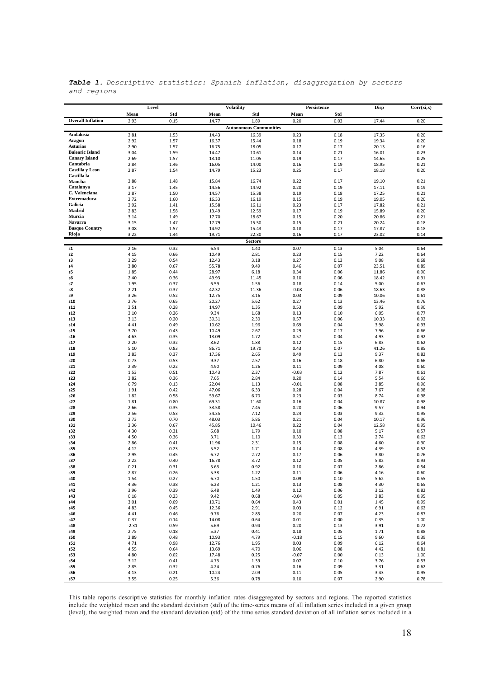|                           |                 | Level        |                | <b>Volatility</b>             | Persistence     |              | Disp           | Corr(xi,x)   |
|---------------------------|-----------------|--------------|----------------|-------------------------------|-----------------|--------------|----------------|--------------|
|                           | Mean            | Std          | Mean           | Std                           | Mean            | Std          |                |              |
| <b>Overall Inflation</b>  | 2.93            | 0.15         | 14.77          | 1.89                          | 0.20            | 0.03         | 17.44          | 0.20         |
|                           |                 |              |                | <b>Autonomous Communities</b> |                 |              |                |              |
| Andalusia                 | 2.81            | 1.53         | 14.43          | 16.39                         | 0.23            | 0.18         | 17.35          | 0.20         |
| Aragon<br><b>Asturias</b> | 2.92<br>2.90    | 1.57<br>1.57 | 16.37          | 15.44<br>18.05                | 0.18<br>0.17    | 0.19<br>0.17 | 19.34<br>20.13 | 0.20<br>0.16 |
| <b>Balearic Island</b>    | 3.04            | 1.59         | 16.75<br>14.47 | 10.61                         | 0.14            | 0.21         | 16.01          | 0.23         |
| <b>Canary Island</b>      | 2.69            | 1.57         | 13.10          | 11.05                         | 0.19            | 0.17         | 14.65          | 0.25         |
| Cantabria                 | 2.84            | 1.46         | 16.05          | 14.00                         | 0.16            | 0.19         | 18.95          | 0.21         |
| Castilla y Leon           | 2.87            | 1.54         | 14.79          | 15.23                         | 0.25            | 0.17         | 18.18          | 0.20         |
| Castilla la<br>Mancha     | 2.88            | 1.48         | 15.84          | 16.74                         | 0.22            | 0.17         | 19.10          | 0.21         |
| Catalunva                 | 3.17            | 1.45         | 14.56          | 14.92                         | 0.20            | 0.19         | 17.11          | 0.19         |
| C. Valenciana             | 2.87            | 1.50         | 14.57          | 15.38                         | 0.19            | 0.18         | 17.25          | 0.21         |
| Extremadura               | 2.72            | 1.60         | 16.33          | 16.19                         | 0.15            | 0.19         | 19.05          | 0.20         |
| Galicia                   | 2.92            | 1.41         | 15.58          | 16.11                         | 0.23            | 0.17         | 17.82          | 0.21         |
| Madrid<br>Murcia          | 2.83<br>3.14    | 1.58<br>1.49 | 13.49<br>17.70 | 12.59<br>18.67                | 0.17<br>0.15    | 0.19<br>0.20 | 15.89<br>20.86 | 0.20<br>0.21 |
| Navarra                   | 3.15            | 1.47         | 17.79          | 15.50                         | 0.15            | 0.21         | 20.24          | 0.18         |
| <b>Basque Country</b>     | 3.08            | 1.57         | 14.92          | 15.43                         | 0.18            | 0.17         | 17.87          | 0.18         |
| Rioja                     | 3.22            | 1.44         | 19.71          | 22.30                         | 0.16            | 0.17         | 23.02          | 0.14         |
|                           |                 |              |                | <b>Sectors</b>                |                 |              |                |              |
| s1                        | 2.16            | 0.32         | 6.54           | 1.40                          | 0.07            | 0.13         | 5.04           | 0.64         |
| s2                        | 4.15            | 0.66         | 10.49          | 2.81                          | 0.23            | 0.15         | 7.22           | 0.64         |
| s3<br>s4                  | 3.29<br>3.80    | 0.54<br>0.67 | 12.43<br>55.78 | 3.18<br>9.49                  | 0.27<br>0.46    | 0.13<br>0.07 | 9.08<br>23.51  | 0.68<br>0.89 |
| s5                        | 1.85            | 0.44         | 28.97          | 6.18                          | 0.34            | 0.06         | 11.86          | 0.90         |
| s6                        | 2.40            | 0.36         | 49.93          | 11.45                         | 0.10            | 0.06         | 18.42          | 0.91         |
| s7                        | 1.95            | 0.37         | 6.59           | 1.56                          | 0.18            | 0.14         | 5.00           | 0.67         |
| s8                        | 2.21            | 0.37         | 42.32          | 11.36                         | $-0.08$         | 0.06         | 18.63          | 0.88         |
| s9<br>s10                 | 3.26<br>2.76    | 0.52<br>0.65 | 12.75<br>20.27 | 3.16<br>5.62                  | 0.03<br>0.27    | 0.09<br>0.13 | 10.06<br>13.46 | 0.61<br>0.76 |
| s11                       | 2.51            | 0.28         | 14.97          | 1.35                          | 0.53            | 0.09         | 5.92           | 0.90         |
| s12                       | 2.10            | 0.26         | 9.34           | 1.68                          | 0.13            | 0.10         | 6.05           | 0.77         |
| s13                       | 3.13            | 0.20         | 30.31          | 2.30                          | 0.57            | 0.06         | 10.33          | 0.92         |
| s14                       | 4.41            | 0.49         | 10.62          | 1.96                          | 0.69            | 0.04         | 3.98           | 0.93         |
| s15<br>s16                | 3.70<br>4.63    | 0.43<br>0.35 | 10.49<br>13.09 | 2.67<br>1.72                  | 0.29<br>0.57    | 0.17<br>0.04 | 7.96<br>4.93   | 0.66<br>0.92 |
| s17                       | 2.20            | 0.32         | 8.62           | 1.88                          | 0.12            | 0.15         | 6.83           | 0.62         |
| s18                       | 5.10            | 0.83         | 86.71          | 19.70                         | 0.43            | 0.07         | 41.26          | 0.85         |
| s19                       | 2.83            | 0.37         | 17.36          | 2.65                          | 0.49            | 0.13         | 9.37           | 0.82         |
| s20<br>s21                | 0.73<br>2.39    | 0.53<br>0.22 | 9.37<br>4.90   | 2.57<br>1.26                  | 0.16<br>0.11    | 0.18<br>0.09 | 6.80<br>4.08   | 0.66<br>0.60 |
| s22                       | 1.53            | 0.51         | 10.43          | 2.37                          | $-0.03$         | 0.12         | 7.87           | 0.61         |
| s23                       | 2.82            | 0.36         | 7.65           | 2.84                          | 0.20            | 0.14         | 5.54           | 0.66         |
| s24                       | 6.79            | 0.13         | 22.04          | 1.13                          | $-0.01$         | 0.08         | 2.85           | 0.96         |
| s25                       | 1.91            | 0.42         | 47.06          | 6.33                          | 0.28            | 0.04         | 7.67           | 0.98         |
| s26<br>s27                | 1.82<br>1.81    | 0.58<br>0.80 | 59.67<br>69.31 | 6.70<br>11.60                 | 0.23<br>0.16    | 0.03<br>0.04 | 8.74<br>10.87  | 0.98<br>0.98 |
| s28                       | 2.66            | 0.35         | 33.58          | 7.45                          | 0.20            | 0.06         | 9.57           | 0.94         |
| s29                       | 2.56            | 0.53         | 34.35          | 7.12                          | 0.24            | 0.03         | 9.32           | 0.95         |
| s30                       | 2.73            | 0.70         | 48.03          | 5.86                          | 0.21            | 0.04         | 10.17          | 0.96         |
| s31                       | 2.36            | 0.67         | 45.85          | 10.46                         | 0.22            | 0.04         | 12.58          | 0.95         |
| s32<br>s33                | 4.30<br>4.50    | 0.31<br>0.36 | 6.68<br>3.71   | 1.79<br>1.10                  | 0.10<br>0.33    | 0.08<br>0.13 | 5.17<br>2.74   | 0.57<br>0.62 |
| s34                       | 2.86            | 0.41         | 11.96          | 2.31                          | 0.15            | 0.08         | 4.60           | 0.90         |
| s35                       | 4.12            | 0.23         | 5.52           | 1.71                          | 0.14            | 0.08         | 4.39           | 0.52         |
| s36                       | 2.95            | 0.45         | 6.72           | 2.72                          | 0.17            | 0.06         | 3.80           | 0.76         |
| s37<br>s38                | 2.22<br>0.21    | 0.40<br>0.31 | 16.78<br>3.63  | 3.72<br>0.92                  | 0.12<br>0.10    | 0.05<br>0.07 | 5.82<br>2.86   | 0.93<br>0.54 |
| s39                       | 2.87            | 0.26         | 5.38           | 1.22                          | 0.11            | 0.06         | 4.16           | 0.60         |
| s40                       | 1.54            | 0.27         | 6.70           | 1.50                          | 0.09            | 0.10         | 5.62           | 0.55         |
| s41                       | 4.36            | 0.38         | 6.23           | 1.21                          | 0.13            | 0.08         | 4.30           | 0.65         |
| s42                       | 3.96            | 0.39         | 6.48           | 1.49                          | 0.12            | 0.06         | 3.12           | 0.82         |
| s43<br>s44                | 0.18<br>3.01    | 0.23<br>0.09 | 9.42<br>10.71  | 0.68<br>0.64                  | $-0.04$<br>0.43 | 0.05<br>0.01 | 2.83<br>1.45   | 0.95<br>0.99 |
| s45                       | 4.83            | 0.45         | 12.36          | 2.91                          | 0.03            | 0.12         | 6.91           | 0.62         |
| s46                       | 4.41            | 0.46         | 9.76           | 2.85                          | 0.20            | 0.07         | 4.23           | 0.87         |
| s47                       | 0.37            | 0.14         | 14.08          | 0.64                          | 0.01            | 0.00         | 0.35           | 1.00         |
| s48<br>s49                | $-2.31$<br>2.75 | 0.59<br>0.18 | 5.69<br>5.37   | 0.94<br>0.41                  | 0.20<br>0.18    | 0.13<br>0.05 | 3.91<br>1.71   | 0.72<br>0.88 |
| s50                       | 2.89            | 0.48         | 10.93          | 4.79                          | $-0.18$         | 0.15         | 9.60           | 0.39         |
| s51                       | 4.71            | 0.98         | 12.76          | 1.95                          | 0.03            | 0.09         | 6.12           | 0.64         |
| s52                       | 4.55            | 0.64         | 13.69          | 4.70                          | 0.06            | 0.08         | 4.42           | 0.81         |
| s53                       | 4.80            | 0.02         | 17.48          | 0.25                          | $-0.07$         | 0.00         | 0.13           | 1.00         |
| s54<br>s55                | 3.12<br>2.85    | 0.41<br>0.32 | 4.73<br>4.24   | 1.39<br>0.76                  | 0.07<br>0.16    | 0.10<br>0.09 | 3.76<br>3.31   | 0.53<br>0.62 |
| s56                       | 4.13            | 0.21         | 10.24          | 2.09                          | 0.11            | 0.05         | 3.43           | 0.95         |
| s57                       | 3.55            | 0.25         | 5.36           | 0.78                          | 0.10            | 0.07         | 2.90           | 0.78         |

*Table 1. Descriptive statistics: Spanish inflation, disaggregation by sectors and regions*

This table reports descriptive statistics for monthly inflation rates disaggregated by sectors and regions. The reported statistics include the weighted mean and the standard deviation (std) of the time-series means of all inflation series included in a given group (level), the weighted mean and the standard deviation (std) of the time series standard deviation of all inflation series included in a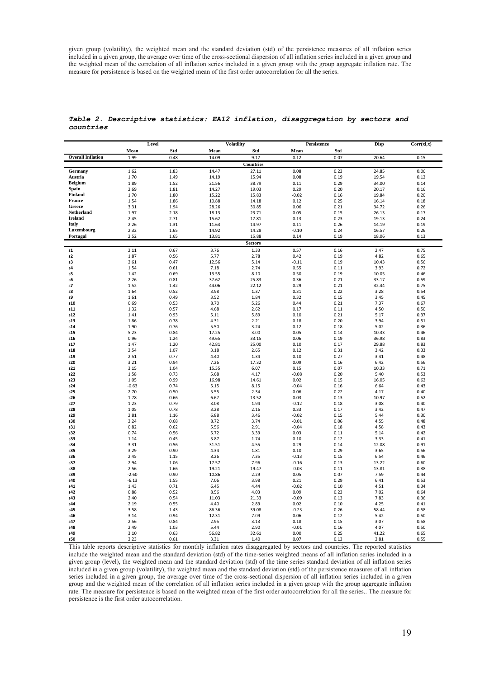given group (volatility), the weighted mean and the standard deviation (std) of the persistence measures of all inflation series included in a given group, the average over time of the cross-sectional dispersion of all inflation series included in a given group and the weighted mean of the correlation of all inflation series included in a given group with the group aggregate inflation rate. The measure for persistence is based on the weighted mean of the first order autocorrelation for all the series.

|                          | Level   |      |       | <b>Volatility</b> |         | Persistence | Disp  | Corr(xi,x) |
|--------------------------|---------|------|-------|-------------------|---------|-------------|-------|------------|
|                          | Mean    | Std  | Mean  | Std               | Mean    | Std         |       |            |
| <b>Overall Inflation</b> | 1.99    | 0.48 | 14.09 | 9.17              | 0.12    | 0.07        | 20.64 | 0.15       |
|                          |         |      |       |                   |         |             |       |            |
|                          |         |      |       | Countries         |         |             |       |            |
| Germany                  | 1.62    | 1.83 | 14.47 | 27.11             | 0.08    | 0.23        | 24.85 | 0.06       |
| Austria                  | 1.70    | 1.49 | 14.19 | 15.94             | 0.08    | 0.19        | 19.54 | 0.12       |
| Belgium                  | 1.89    | 1.52 | 21.56 | 38.79             | 0.11    | 0.29        | 34.00 | 0.14       |
| Spain                    | 2.69    | 1.81 | 14.27 | 19.03             | 0.29    | 0.20        | 20.17 | 0.16       |
| <b>Finland</b>           | 1.70    | 1.80 | 15.22 | 15.83             | $-0.02$ | 0.16        | 19.84 | 0.20       |
| France                   | 1.54    | 1.86 | 10.88 | 14.18             | 0.12    | 0.25        | 16.14 | 0.18       |
| Greece                   | 3.31    | 1.94 | 28.26 | 30.85             | 0.06    | 0.21        | 34.72 | 0.26       |
| Netherland               | 1.97    | 2.18 | 18.13 | 23.71             | 0.05    | 0.15        | 26.13 | 0.17       |
| <b>Ireland</b>           | 2.45    | 2.71 | 15.62 | 17.81             | 0.13    | 0.23        | 19.13 | 0.24       |
| <b>Italy</b>             | 2.26    | 1.31 | 11.63 | 14.97             | 0.11    | 0.26        | 14.19 | 0.19       |
| Luxembourg               | 2.32    |      | 14.92 |                   | $-0.10$ | 0.24        |       |            |
|                          |         | 1.65 |       | 14.28             |         |             | 16.57 | 0.26       |
| Portugal                 | 2.52    | 1.65 | 13.81 | 15.88             | 0.14    | 0.19        | 18.06 | 0.13       |
|                          |         |      |       | <b>Sectors</b>    |         |             |       |            |
| s1                       | 2.11    | 0.67 | 3.76  | 1.33              | 0.57    | 0.16        | 2.47  | 0.75       |
| s2                       | 1.87    | 0.56 | 5.77  | 2.78              | 0.42    | 0.19        | 4.82  | 0.65       |
| s3                       | 2.61    | 0.47 | 12.56 | 5.14              | $-0.11$ | 0.19        | 10.43 | 0.56       |
| s4                       | 1.54    | 0.61 | 7.18  | 2.74              | 0.55    | 0.11        | 3.93  | 0.72       |
| s5                       | 1.42    | 0.69 | 13.55 | 8.10              | 0.50    | 0.19        | 10.05 | 0.46       |
| s6                       | 2.26    | 0.81 | 37.62 | 25.83             | 0.36    | 0.21        | 33.17 | 0.59       |
|                          |         | 1.42 | 44.06 |                   | 0.29    | 0.21        | 32.44 |            |
| s7                       | 1.52    |      |       | 22.12             |         |             |       | 0.75       |
| s8                       | 1.64    | 0.52 | 3.98  | 1.37              | 0.31    | 0.22        | 3.28  | 0.54       |
| s9                       | 1.61    | 0.49 | 3.52  | 1.84              | 0.32    | 0.15        | 3.45  | 0.45       |
| s10                      | 0.69    | 0.53 | 8.70  | 5.26              | 0.44    | 0.21        | 7.37  | 0.67       |
| s11                      | 1.32    | 0.57 | 4.68  | 2.62              | 0.17    | 0.11        | 4.50  | 0.50       |
| s12                      | 1.41    | 0.93 | 5.11  | 5.89              | 0.10    | 0.21        | 5.17  | 0.37       |
| s13                      | 1.86    | 0.78 | 4.31  | 2.21              | 0.18    | 0.20        | 3.94  | 0.51       |
| s14                      | 1.90    | 0.76 | 5.50  | 3.24              | 0.12    | 0.18        | 5.02  | 0.36       |
| s15                      | 5.23    | 0.84 | 17.25 | 3.00              | 0.05    | 0.14        | 10.33 | 0.46       |
| s16                      | 0.96    | 1.24 | 49.65 | 33.15             | 0.06    | 0.19        | 36.98 | 0.83       |
| s17                      | 1.47    | 1.20 | 42.81 | 25.00             | 0.10    | 0.17        | 29.88 | 0.83       |
| s18                      | 2.54    | 1.07 | 3.18  | 2.65              | 0.12    | 0.31        | 3.42  | 0.33       |
| s19                      | 2.51    | 0.77 | 4.40  | 1.34              | 0.10    | 0.27        | 3.41  | 0.48       |
| s20                      | 3.21    | 0.94 | 7.26  | 17.32             | 0.09    | 0.16        | 6.42  | 0.56       |
| s21                      | 3.15    | 1.04 | 15.35 | 6.07              | 0.15    | 0.07        | 10.33 | 0.71       |
|                          |         |      |       |                   |         |             |       |            |
| s22                      | 1.58    | 0.73 | 5.68  | 4.17              | $-0.08$ | 0.20        | 5.40  | 0.53       |
| s23                      | 1.05    | 0.99 | 16.98 | 14.61             | 0.02    | 0.15        | 16.05 | 0.62       |
| s24                      | $-0.63$ | 0.74 | 5.15  | 8.15              | $-0.04$ | 0.16        | 6.64  | 0.43       |
| s25                      | 2.70    | 0.50 | 5.55  | 2.34              | 0.06    | 0.22        | 4.17  | 0.40       |
| s26                      | 1.78    | 0.66 | 6.67  | 13.52             | 0.03    | 0.13        | 10.97 | 0.52       |
| s27                      | 1.23    | 0.79 | 3.08  | 1.94              | $-0.12$ | 0.18        | 3.08  | 0.40       |
| s28                      | 1.05    | 0.78 | 3.28  | 2.16              | 0.33    | 0.17        | 3.42  | 0.47       |
| s29                      | 2.81    | 1.16 | 6.88  | 3.46              | $-0.02$ | 0.15        | 5.44  | 0.30       |
| s30                      | 2.24    | 0.68 | 8.72  | 3.74              | $-0.01$ | 0.06        | 4.55  | 0.48       |
| s31                      | 0.82    | 0.62 | 5.56  | 2.91              | $-0.04$ | 0.18        | 4.58  | 0.43       |
| s32                      | 0.74    | 0.56 | 5.72  | 3.39              | 0.03    | 0.11        | 5.14  | 0.42       |
| s33                      | 1.14    | 0.45 | 3.87  | 1.74              | 0.10    | 0.12        | 3.33  | 0.41       |
| s34                      | 3.31    | 0.56 | 31.51 | 4.55              | 0.29    | 0.14        | 12.08 | 0.91       |
| s35                      | 3.29    | 0.90 | 4.34  | 1.81              | 0.10    | 0.29        | 3.65  | 0.56       |
| s36                      | 2.45    | 1.15 | 8.26  | 7.35              | $-0.13$ | 0.15        | 6.54  | 0.46       |
| s37                      | 2.94    | 1.06 | 17.57 | 7.96              |         |             | 13.22 |            |
|                          |         |      |       |                   | $-0.16$ | 0.13        |       | 0.60       |
| s38                      | 2.56    | 1.66 | 19.21 | 19.47             | $-0.03$ | 0.11        | 13.81 | 0.38       |
| s39                      | $-2.60$ | 0.90 | 10.86 | 2.29              | 0.05    | 0.07        | 7.59  | 0.44       |
| s40                      | $-6.13$ | 1.55 | 7.06  | 3.98              | 0.21    | 0.29        | 6.41  | 0.53       |
| s41                      | 1.43    | 0.71 | 6.45  | 4.44              | $-0.02$ | 0.10        | 4.51  | 0.34       |
| s42                      | 0.88    | 0.52 | 8.56  | 4.03              | 0.09    | 0.23        | 7.02  | 0.64       |
| s43                      | 2.40    | 0.54 | 11.03 | 21.33             | $-0.09$ | 0.13        | 7.83  | 0.36       |
| s44                      | 2.19    | 0.55 | 4.40  | 2.89              | 0.02    | 0.10        | 4.25  | 0.41       |
| s45                      | 3.58    | 1.43 | 86.36 | 39.08             | $-0.23$ | 0.26        | 58.44 | 0.58       |
| s46                      | 3.14    | 0.94 | 12.31 | 7.09              | 0.06    | 0.12        | 5.42  | 0.50       |
| s47                      | 2.56    | 0.84 | 2.95  | 3.13              | 0.18    | 0.15        | 3.07  | 0.58       |
| s48                      | 2.49    | 1.03 | 5.44  | 2.90              | $-0.01$ | 0.16        | 4.07  | 0.50       |
| s49                      | 3.10    | 0.63 | 56.82 | 32.61             | 0.00    | 0.25        | 41.22 | 0.65       |
|                          |         |      |       |                   |         |             |       |            |
| s50                      | 2.23    | 0.61 | 3.31  | 1.40              | 0.07    | 0.13        | 2.81  | 0.55       |

#### *Table 2. Descriptive statistics: EA12 inflation, disaggregation by sectors and countries*

This table reports descriptive statistics for monthly inflation rates disaggregated by sectors and countries. The reported statistics include the weighted mean and the standard deviation (std) of the time-series weighted means of all inflation series included in a given group (level), the weighted mean and the standard deviation (std) of the time series standard deviation of all inflation series included in a given group (volatility), the weighted mean and the standard deviation (std) of the persistence measures of all inflation series included in a given group, the average over time of the cross-sectional dispersion of all inflation series included in a given group and the weighted mean of the correlation of all inflation series included in a given group with the group aggregate inflation rate. The measure for persistence is based on the weighted mean of the first order autocorrelation for all the series.. The measure for persistence is the first order autocorrelation.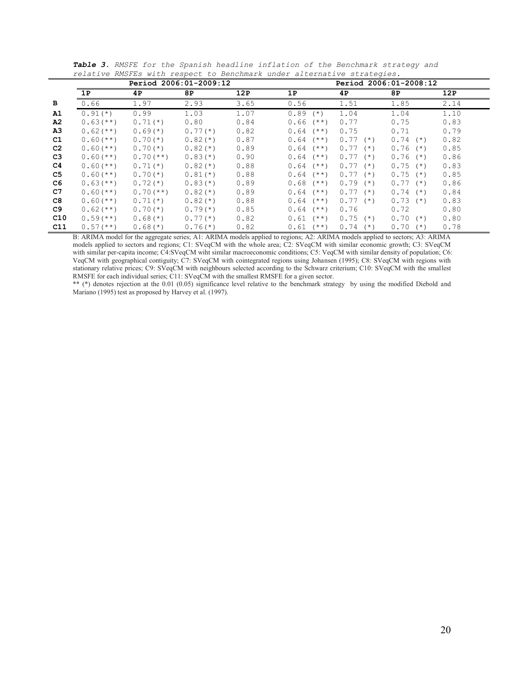|                |              |              | Period 2006:01-2009:12 |      |                  |               | Period 2006:01-2008:12 |      |
|----------------|--------------|--------------|------------------------|------|------------------|---------------|------------------------|------|
|                | 1P           | 4P           | 8P                     | 12P  | 1P               | 4P            | 8P                     | 12P  |
| в              | 0.66         | 1.97         | 2.93                   | 3.65 | 0.56             | 1.51          | 1.85                   | 2.14 |
| A1             | $0.91$ $(*)$ | 0.99         | 1.03                   | 1.07 | 0.89<br>$(* )$   | 1.04          | 1.04                   | 1.10 |
| A2             | $0.63$ (**)  | $0.71$ $(*)$ | 0.80                   | 0.84 | 0.66<br>$(* * )$ | 0.77          | 0.75                   | 0.83 |
| A3             | $0.62$ (**)  | $0.69$ (*)   | $0.77$ (*)             | 0.82 | 0.64<br>$(* * )$ | 0.75          | 0.71                   | 0.79 |
| C1             | $0.60$ (**)  | $0.70$ $(*)$ | $0.82$ (*)             | 0.87 | 0.64<br>$(* * )$ | $0.77$ $(*)$  | 0.74<br>$(*)$          | 0.82 |
| C <sub>2</sub> | $0.60$ (**)  | $0.70$ (*)   | $0.82$ (*)             | 0.89 | 0.64<br>$(* * )$ | $0.77$ $(*)$  | 0.76<br>$(*)$          | 0.85 |
| C <sub>3</sub> | $0.60$ (**)  | $0.70$ (**)  | $0.83$ (*)             | 0.90 | 0.64<br>$(* * )$ | 0.77<br>$(*)$ | 0.76<br>$(*)$          | 0.86 |
| C <sub>4</sub> | $0.60$ (**)  | $0.71$ (*)   | $0.82$ (*)             | 0.88 | 0.64<br>$(* * )$ | $0.77$ $(*)$  | 0.75<br>$(*)$          | 0.83 |
| C <sub>5</sub> | $0.60$ (**)  | $0.70$ (*)   | $0.81$ (*)             | 0.88 | 0.64<br>$(* * )$ | $0.77$ $(*)$  | 0.75<br>$(*)$          | 0.85 |
| C6             | $0.63$ (**)  | $0.72$ (*)   | $0.83$ (*)             | 0.89 | 0.68<br>$(* * )$ | 0.79<br>$(*)$ | 0.77<br>$(*)$          | 0.86 |
| C7             | $0.60$ (**)  | $0.70$ (**)  | $0.82$ (*)             | 0.89 | 0.64<br>$(* * )$ | 0.77<br>$(*)$ | 0.74<br>$(*)$          | 0.84 |
| C8             | $0.60$ (**)  | $0.71$ (*)   | $0.82$ (*)             | 0.88 | 0.64<br>$(**+)$  | $0.77$ (*)    | 0.73<br>$(*)$          | 0.83 |
| C9             | $0.62$ (**)  | $0.70$ (*)   | $0.79(*)$              | 0.85 | 0.64<br>$(* * )$ | 0.76          | 0.72                   | 0.80 |
| C10            | $0.59$ (**)  | $0.68$ (*)   | $0.77$ (*)             | 0.82 | 0.61<br>$(* * )$ | $0.75$ (*)    | 0.70<br>$(*)$          | 0.80 |
| C11            | $0.57$ (**)  | $0.68$ (*)   | $0.76$ (*)             | 0.82 | 0.61<br>'**)     | 0.74<br>$(*)$ | 0.70<br>$(*)$          | 0.78 |

*Table 3. RMSFE for the Spanish headline inflation of the Benchmark strategy and relative RMSFEs with respect to Benchmark under alternative strategies.*

B: ARIMA model for the aggregate series; A1: ARIMA models applied to regions; A2: ARIMA models applied to sectors; A3: ARIMA models applied to sectors and regions; C1: SVeqCM with the whole area; C2: SVeqCM with similar economic growth; C3: SVeqCM with similar per-capita income; C4:SVeqCM wiht similar macroeconomic conditions; C5: VeqCM with similar density of population; C6: VeqCM with geographical contiguity; C7: SVeqCM with cointegrated regions using Johansen (1995); C8: SVeqCM with regions with stationary relative prices; C9: SVeqCM with neighbours selected according to the Schwarz criterium; C10: SVeqCM with the smallest RMSFE for each individual series; C11: SVeqCM with the smallest RMSFE for a given sector.

\*\* (\*) denotes rejection at the 0.01 (0.05) significance level relative to the benchmark strategy by using the modified Diebold and Mariano (1995) test as proposed by Harvey et al. (1997).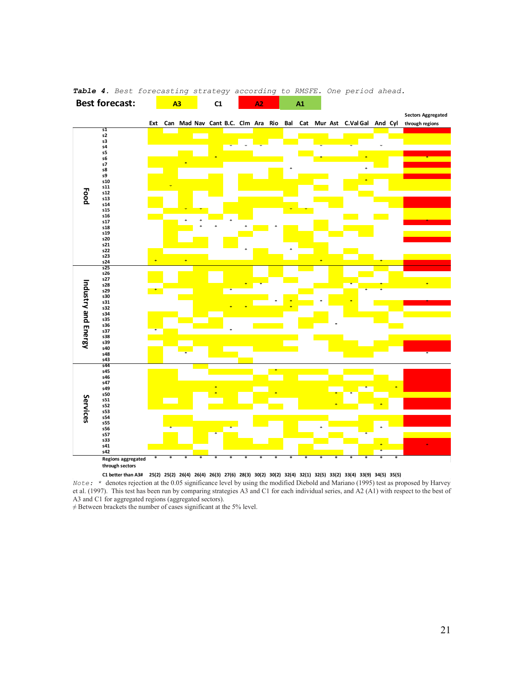

*Note: \** denotes rejection at the 0.05 significance level by using the modified Diebold and Mariano (1995) test as proposed by Harvey

et al. (1997). This test has been run by comparing strategies A3 and C1 for each individual series, and A2 (A1) with respect to the best of A3 and C1 for aggregated regions (aggregated sectors).

 $\neq$  Between brackets the number of cases significant at the 5% level.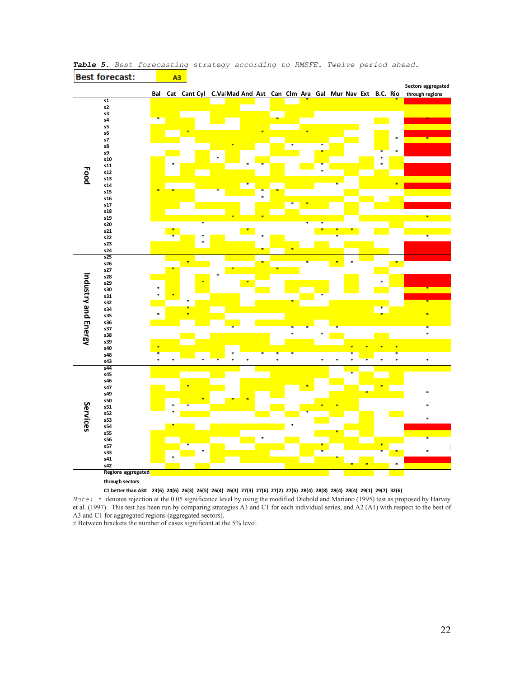

*Note:* \* denotes rejection at the 0.05 significance level by using the modified Diebold and Mariano (1995) test as proposed by Harvey et al. (1997). This test has been run by comparing strategies A3 and C1 for each individual series, and A2 (A1) with respect to the best of A3 and C1 for aggregated regions (aggregated sectors).

 $\neq$  Between brackets the number of cases significant at the 5% level.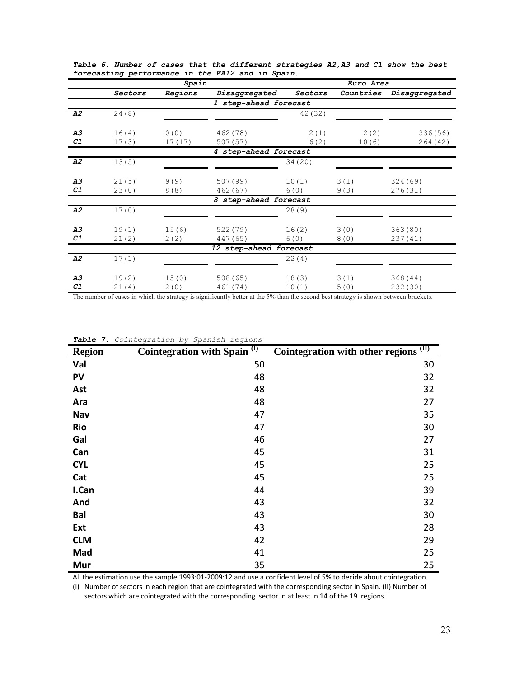|                       |         | Spain   |                        |                | Euro Area |               |  |  |  |
|-----------------------|---------|---------|------------------------|----------------|-----------|---------------|--|--|--|
|                       | Sectors | Regions | Disaggregated          | <b>Sectors</b> | Countries | Disaggregated |  |  |  |
| 1 step-ahead forecast |         |         |                        |                |           |               |  |  |  |
| A2                    | 24(8)   |         |                        | 42 (32)        |           |               |  |  |  |
|                       |         |         |                        |                |           |               |  |  |  |
| A3                    | 16(4)   | 0(0)    | 462 (78)               | 2(1)           | 2(2)      | 336 (56)      |  |  |  |
| C1                    | 17(3)   | 17(17)  | 507 (57)               | 6(2)           | 10(6)     | 264 (42)      |  |  |  |
|                       |         |         | 4 step-ahead forecast  |                |           |               |  |  |  |
| A2                    | 13(5)   |         |                        | 34 (20)        |           |               |  |  |  |
|                       |         |         |                        |                |           |               |  |  |  |
| A3                    | 21(5)   | 9(9)    | 507 (99)               | 10(1)          | 3(1)      | 324 (69)      |  |  |  |
| C1                    | 23(0)   | 8(8)    | 462 (67)               | 6(0)           | 9(3)      | 276(31)       |  |  |  |
|                       |         |         | 8 step-ahead forecast  |                |           |               |  |  |  |
| A2                    | 17(0)   |         |                        | 28(9)          |           |               |  |  |  |
|                       |         |         |                        |                |           |               |  |  |  |
| A3                    | 19(1)   | 15(6)   | 522 (79)               | 16(2)          | 3(0)      | 363(80)       |  |  |  |
| C1                    | 21(2)   | 2(2)    | 447 (65)               | 6(0)           | 8(0)      | 237 (41)      |  |  |  |
|                       |         |         | 12 step-ahead forecast |                |           |               |  |  |  |
| A2                    | 17(1)   |         |                        | 22(4)          |           |               |  |  |  |
|                       |         |         |                        |                |           |               |  |  |  |
| A3                    | 19(2)   | 15(0)   | 508 (65)               | 18(3)          | 3(1)      | 368 (44)      |  |  |  |
| C1                    | 21(4)   | 2(0)    | 461 (74)               | 10(1)          | 5(0)      | 232 (30)      |  |  |  |

*Table 6. Number of cases that the different strategies A2,A3 and C1 show the best forecasting performance in the EA12 and in Spain.*

The number of cases in which the strategy is significantly better at the 5% than the second best strategy is shown between brackets.

| <b>Region</b> | Cointegration with Spain <sup>(I)</sup> | Cointegration with other regions <sup>(II)</sup> |
|---------------|-----------------------------------------|--------------------------------------------------|
| Val           | 50                                      | 30                                               |
| <b>PV</b>     | 48                                      | 32                                               |
| Ast           | 48                                      | 32                                               |
| Ara           | 48                                      | 27                                               |
| Nav           | 47                                      | 35                                               |
| <b>Rio</b>    | 47                                      | 30                                               |
| Gal           | 46                                      | 27                                               |
| Can           | 45                                      | 31                                               |
| <b>CYL</b>    | 45                                      | 25                                               |
| Cat           | 45                                      | 25                                               |
| I.Can         | 44                                      | 39                                               |
| And           | 43                                      | 32                                               |
| <b>Bal</b>    | 43                                      | 30                                               |
| Ext           | 43                                      | 28                                               |
| <b>CLM</b>    | 42                                      | 29                                               |
| Mad           | 41                                      | 25                                               |
| Mur           | 35                                      | 25                                               |

*Table 7. Cointegration by Spanish regions*

All the estimation use the sample 1993:01-2009:12 and use a confident level of 5% to decide about cointegration.

(I) Number of sectors in each region that are cointegrated with the corresponding sector in Spain. (II) Number of sectors which are cointegrated with the corresponding sector in at least in 14 of the 19 regions.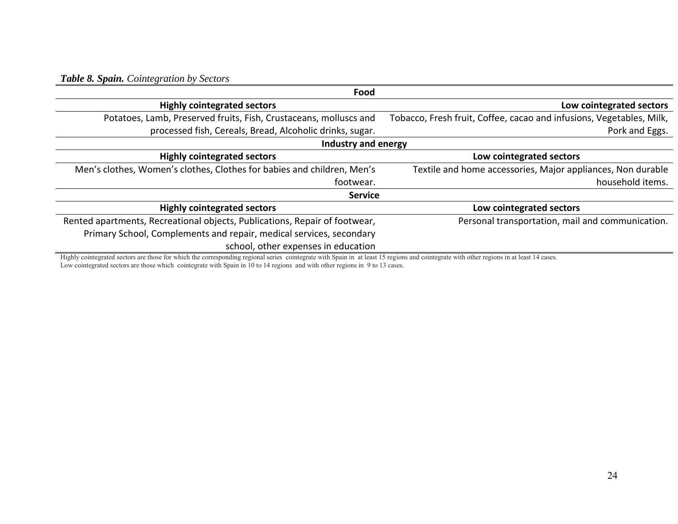| Food                                                                       |                                                                      |
|----------------------------------------------------------------------------|----------------------------------------------------------------------|
| <b>Highly cointegrated sectors</b>                                         | Low cointegrated sectors                                             |
| Potatoes, Lamb, Preserved fruits, Fish, Crustaceans, molluscs and          | Tobacco, Fresh fruit, Coffee, cacao and infusions, Vegetables, Milk, |
| processed fish, Cereals, Bread, Alcoholic drinks, sugar.                   | Pork and Eggs.                                                       |
| Industry and energy                                                        |                                                                      |
| <b>Highly cointegrated sectors</b>                                         | Low cointegrated sectors                                             |
| Men's clothes, Women's clothes, Clothes for babies and children, Men's     | Textile and home accessories, Major appliances, Non durable          |
| footwear.                                                                  | household items.                                                     |
| <b>Service</b>                                                             |                                                                      |
| <b>Highly cointegrated sectors</b>                                         | Low cointegrated sectors                                             |
| Rented apartments, Recreational objects, Publications, Repair of footwear, | Personal transportation, mail and communication.                     |
| Primary School, Complements and repair, medical services, secondary        |                                                                      |
| school, other expenses in education                                        |                                                                      |

Highly cointegrated sectors are those for which the corresponding regional series cointegrate with Spain in at least 15 regions and cointegrate with other regions in at least 14 cases. Low cointegrated sectors are those which cointegrate with Spain in 10 to 14 regions and with other regions in 9 to 13 cases.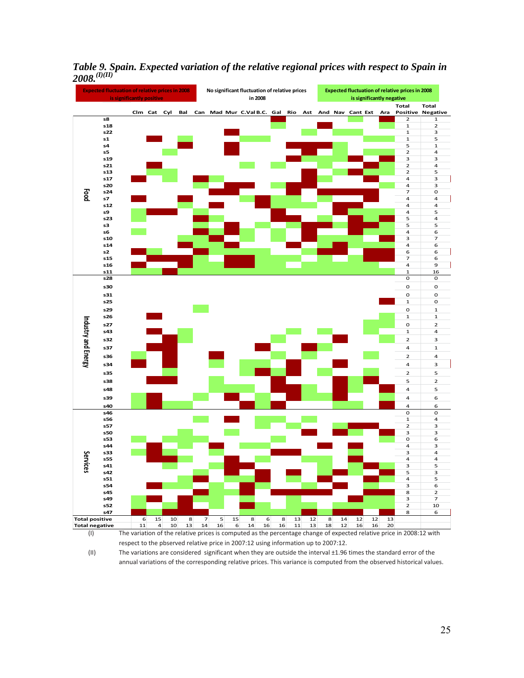

annual variations of the corresponding relative prices. This variance is computed from the observed historical values.

*Table 9. Spain. Expected variation of the relative regional prices with respect to Spain in 2008.(I)(II)* 

25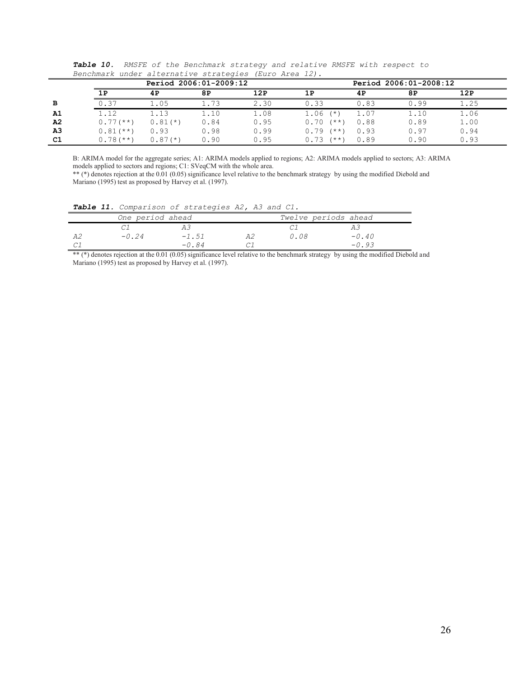|                |             | Period 2006:01-2009:12 |      |      |                         |      | Period 2006:01-2008:12 |      |
|----------------|-------------|------------------------|------|------|-------------------------|------|------------------------|------|
|                | 1P          | 4P                     | 8P   | 12P  | 1P                      | 4 P  | 8₽                     | 12P  |
| в              | 0.37        | 1.05                   | 1.73 | 2.30 | 0.33                    | 0.83 | 0.99                   | 1.25 |
| Α1             | 1.12        | 1.13                   | 1.10 | 1.08 | 1.06<br>$($ $\star$ $)$ | 1.07 | 1.10                   | 1.06 |
| A <sub>2</sub> | $0.77$ (**) | $0.81$ (*)             | 0.84 | 0.95 | 0.70<br>$(***)$         | 0.88 | 0.89                   | 1.00 |
| A <sub>3</sub> | $0.81$ (**) | 0.93                   | 0.98 | 0.99 | 0.79<br>$(***)$         | 0.93 | 0.97                   | 0.94 |
| C1             | $0.78$ (**) | $0.87$ (*)             | 0.90 | 0.95 | 0.73<br>(**)            | 0.89 | 0.90                   | 0.93 |

*Table 10. RMSFE of the Benchmark strategy and relative RMSFE with respect to Benchmark under alternative strategies (Euro Area 12).*

B: ARIMA model for the aggregate series; A1: ARIMA models applied to regions; A2: ARIMA models applied to sectors; A3: ARIMA models applied to sectors and regions; C1: SVeqCM with the whole area.

\*\* (\*) denotes rejection at the 0.01 (0.05) significance level relative to the benchmark strategy by using the modified Diebold and Mariano (1995) test as proposed by Harvey et al. (1997).

*Table 11. Comparison of strategies A2, A3 and C1.* 

|                  | $\frac{1}{2}$ $\frac{1}{2}$ $\frac{1}{2}$ $\frac{1}{2}$ $\frac{1}{2}$ $\frac{1}{2}$ $\frac{1}{2}$ $\frac{1}{2}$ $\frac{1}{2}$ $\frac{1}{2}$ $\frac{1}{2}$ $\frac{1}{2}$ $\frac{1}{2}$ $\frac{1}{2}$ $\frac{1}{2}$ $\frac{1}{2}$ $\frac{1}{2}$ $\frac{1}{2}$ $\frac{1}{2}$ $\frac{1}{2}$ $\frac{1}{2}$ $\frac{1}{2}$ |      |                      |         |  |
|------------------|---------------------------------------------------------------------------------------------------------------------------------------------------------------------------------------------------------------------------------------------------------------------------------------------------------------------|------|----------------------|---------|--|
| One period ahead |                                                                                                                                                                                                                                                                                                                     |      | Twelve periods ahead |         |  |
|                  |                                                                                                                                                                                                                                                                                                                     |      |                      |         |  |
| $-0.24$          | $-1.51$                                                                                                                                                                                                                                                                                                             | 24 D | 0.08                 | $-0.40$ |  |
|                  | $-0.84$                                                                                                                                                                                                                                                                                                             |      |                      | $-0.93$ |  |

\*\* (\*) denotes rejection at the 0.01 (0.05) significance level relative to the benchmark strategy by using the modified Diebold and Mariano (1995) test as proposed by Harvey et al. (1997).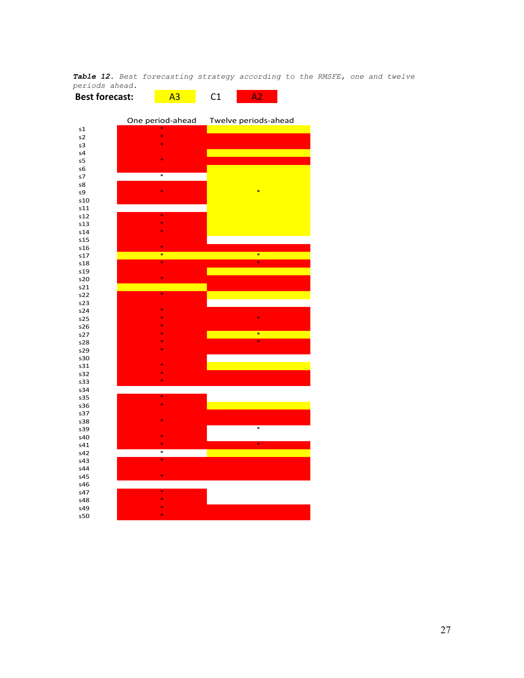*Table 12. Best forecasting strategy according to the RMSFE, one and twelve periods ahead.* 

| <b>Best forecast:</b> |  |  |
|-----------------------|--|--|
|                       |  |  |

| ź.<br>×,<br><b>Contract Contract Contract Contract Contract Contract Contract Contract Contract Contract Contract Contract Co</b><br>$\frac{1}{2}$<br>s5<br>s6<br>$\overline{\ast}$<br>s7<br>s8<br>×<br>*<br>s9<br>s10<br>s11<br>s12<br>ł.<br>*<br>s13<br>s14<br>Ą,<br>s15<br>*<br>s16<br>×<br>$\ast$<br>s17<br>*<br>s18<br>×,<br>s19<br>×<br>s20<br>s21<br>*<br>s22<br>s23<br>s24<br>$\frac{1}{2}$<br>ź.<br>s25<br>×<br>s26<br>×<br>×<br>s27<br>×<br>s28<br>ż,<br>×,<br>s29<br>×,<br>s30<br>s31<br>sk.<br>s32<br>*<br>s33<br>×,<br>s34<br>s35<br>×,<br>s36<br>$\frac{1}{2}$<br>s37<br>s38<br>$\ast$<br>*<br>s39<br>s40<br>×<br>*<br>s41<br>*<br>$\ast$<br>s42<br>s43<br>÷<br>s44<br>*<br>s45<br>s46<br>s47<br>٠<br>s48<br>×,<br>s49<br>s50<br>×, |    | One period-ahead | Twelve periods-ahead |
|---------------------------------------------------------------------------------------------------------------------------------------------------------------------------------------------------------------------------------------------------------------------------------------------------------------------------------------------------------------------------------------------------------------------------------------------------------------------------------------------------------------------------------------------------------------------------------------------------------------------------------------------------------------------------------------------------------------------------------------------------|----|------------------|----------------------|
|                                                                                                                                                                                                                                                                                                                                                                                                                                                                                                                                                                                                                                                                                                                                                   | s1 |                  |                      |
|                                                                                                                                                                                                                                                                                                                                                                                                                                                                                                                                                                                                                                                                                                                                                   | s2 |                  |                      |
|                                                                                                                                                                                                                                                                                                                                                                                                                                                                                                                                                                                                                                                                                                                                                   | s3 |                  |                      |
|                                                                                                                                                                                                                                                                                                                                                                                                                                                                                                                                                                                                                                                                                                                                                   | s4 |                  |                      |
|                                                                                                                                                                                                                                                                                                                                                                                                                                                                                                                                                                                                                                                                                                                                                   |    |                  |                      |
|                                                                                                                                                                                                                                                                                                                                                                                                                                                                                                                                                                                                                                                                                                                                                   |    |                  |                      |
|                                                                                                                                                                                                                                                                                                                                                                                                                                                                                                                                                                                                                                                                                                                                                   |    |                  |                      |
|                                                                                                                                                                                                                                                                                                                                                                                                                                                                                                                                                                                                                                                                                                                                                   |    |                  |                      |
|                                                                                                                                                                                                                                                                                                                                                                                                                                                                                                                                                                                                                                                                                                                                                   |    |                  |                      |
|                                                                                                                                                                                                                                                                                                                                                                                                                                                                                                                                                                                                                                                                                                                                                   |    |                  |                      |
|                                                                                                                                                                                                                                                                                                                                                                                                                                                                                                                                                                                                                                                                                                                                                   |    |                  |                      |
|                                                                                                                                                                                                                                                                                                                                                                                                                                                                                                                                                                                                                                                                                                                                                   |    |                  |                      |
|                                                                                                                                                                                                                                                                                                                                                                                                                                                                                                                                                                                                                                                                                                                                                   |    |                  |                      |
|                                                                                                                                                                                                                                                                                                                                                                                                                                                                                                                                                                                                                                                                                                                                                   |    |                  |                      |
|                                                                                                                                                                                                                                                                                                                                                                                                                                                                                                                                                                                                                                                                                                                                                   |    |                  |                      |
|                                                                                                                                                                                                                                                                                                                                                                                                                                                                                                                                                                                                                                                                                                                                                   |    |                  |                      |
|                                                                                                                                                                                                                                                                                                                                                                                                                                                                                                                                                                                                                                                                                                                                                   |    |                  |                      |
|                                                                                                                                                                                                                                                                                                                                                                                                                                                                                                                                                                                                                                                                                                                                                   |    |                  |                      |
|                                                                                                                                                                                                                                                                                                                                                                                                                                                                                                                                                                                                                                                                                                                                                   |    |                  |                      |
|                                                                                                                                                                                                                                                                                                                                                                                                                                                                                                                                                                                                                                                                                                                                                   |    |                  |                      |
|                                                                                                                                                                                                                                                                                                                                                                                                                                                                                                                                                                                                                                                                                                                                                   |    |                  |                      |
|                                                                                                                                                                                                                                                                                                                                                                                                                                                                                                                                                                                                                                                                                                                                                   |    |                  |                      |
|                                                                                                                                                                                                                                                                                                                                                                                                                                                                                                                                                                                                                                                                                                                                                   |    |                  |                      |
|                                                                                                                                                                                                                                                                                                                                                                                                                                                                                                                                                                                                                                                                                                                                                   |    |                  |                      |
|                                                                                                                                                                                                                                                                                                                                                                                                                                                                                                                                                                                                                                                                                                                                                   |    |                  |                      |
|                                                                                                                                                                                                                                                                                                                                                                                                                                                                                                                                                                                                                                                                                                                                                   |    |                  |                      |
|                                                                                                                                                                                                                                                                                                                                                                                                                                                                                                                                                                                                                                                                                                                                                   |    |                  |                      |
|                                                                                                                                                                                                                                                                                                                                                                                                                                                                                                                                                                                                                                                                                                                                                   |    |                  |                      |
|                                                                                                                                                                                                                                                                                                                                                                                                                                                                                                                                                                                                                                                                                                                                                   |    |                  |                      |
|                                                                                                                                                                                                                                                                                                                                                                                                                                                                                                                                                                                                                                                                                                                                                   |    |                  |                      |
|                                                                                                                                                                                                                                                                                                                                                                                                                                                                                                                                                                                                                                                                                                                                                   |    |                  |                      |
|                                                                                                                                                                                                                                                                                                                                                                                                                                                                                                                                                                                                                                                                                                                                                   |    |                  |                      |
|                                                                                                                                                                                                                                                                                                                                                                                                                                                                                                                                                                                                                                                                                                                                                   |    |                  |                      |
|                                                                                                                                                                                                                                                                                                                                                                                                                                                                                                                                                                                                                                                                                                                                                   |    |                  |                      |
|                                                                                                                                                                                                                                                                                                                                                                                                                                                                                                                                                                                                                                                                                                                                                   |    |                  |                      |
|                                                                                                                                                                                                                                                                                                                                                                                                                                                                                                                                                                                                                                                                                                                                                   |    |                  |                      |
|                                                                                                                                                                                                                                                                                                                                                                                                                                                                                                                                                                                                                                                                                                                                                   |    |                  |                      |
|                                                                                                                                                                                                                                                                                                                                                                                                                                                                                                                                                                                                                                                                                                                                                   |    |                  |                      |
|                                                                                                                                                                                                                                                                                                                                                                                                                                                                                                                                                                                                                                                                                                                                                   |    |                  |                      |
|                                                                                                                                                                                                                                                                                                                                                                                                                                                                                                                                                                                                                                                                                                                                                   |    |                  |                      |
|                                                                                                                                                                                                                                                                                                                                                                                                                                                                                                                                                                                                                                                                                                                                                   |    |                  |                      |
|                                                                                                                                                                                                                                                                                                                                                                                                                                                                                                                                                                                                                                                                                                                                                   |    |                  |                      |
|                                                                                                                                                                                                                                                                                                                                                                                                                                                                                                                                                                                                                                                                                                                                                   |    |                  |                      |
|                                                                                                                                                                                                                                                                                                                                                                                                                                                                                                                                                                                                                                                                                                                                                   |    |                  |                      |
|                                                                                                                                                                                                                                                                                                                                                                                                                                                                                                                                                                                                                                                                                                                                                   |    |                  |                      |
|                                                                                                                                                                                                                                                                                                                                                                                                                                                                                                                                                                                                                                                                                                                                                   |    |                  |                      |
|                                                                                                                                                                                                                                                                                                                                                                                                                                                                                                                                                                                                                                                                                                                                                   |    |                  |                      |
|                                                                                                                                                                                                                                                                                                                                                                                                                                                                                                                                                                                                                                                                                                                                                   |    |                  |                      |
|                                                                                                                                                                                                                                                                                                                                                                                                                                                                                                                                                                                                                                                                                                                                                   |    |                  |                      |
|                                                                                                                                                                                                                                                                                                                                                                                                                                                                                                                                                                                                                                                                                                                                                   |    |                  |                      |
|                                                                                                                                                                                                                                                                                                                                                                                                                                                                                                                                                                                                                                                                                                                                                   |    |                  |                      |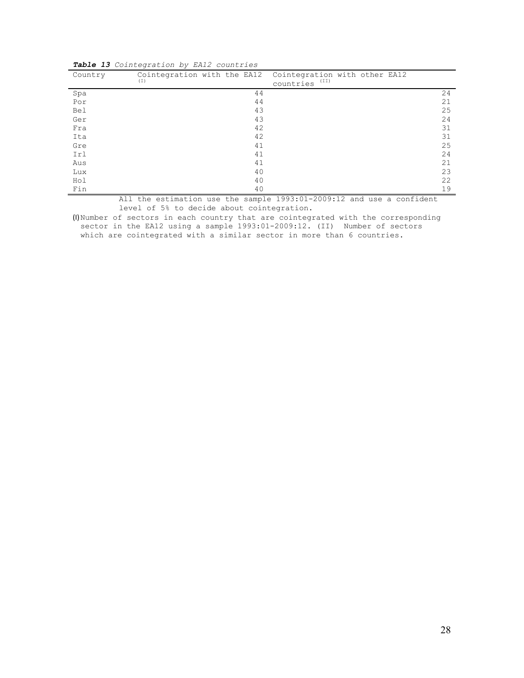| Country | Cointegration with the EA12<br>$(\bot)$ | Cointegration with other EA12<br>countries (II)                       |
|---------|-----------------------------------------|-----------------------------------------------------------------------|
| Spa     | 44                                      | 24                                                                    |
| Por     | 44                                      | 21                                                                    |
| Bel     | 43                                      | 25                                                                    |
| Ger     | 43                                      | 24                                                                    |
| Fra     | 42                                      | 31                                                                    |
| Ita     | 42                                      | 31                                                                    |
| Gre     | 41                                      | 25                                                                    |
| Irl     | 41                                      | 24                                                                    |
| Aus     | 41                                      | 21                                                                    |
| Lux     | 40                                      | 23                                                                    |
| Hol     | 40                                      | 22                                                                    |
| Fin     | 40                                      | 19                                                                    |
|         |                                         | all the estimative use the semels 1000.01 0000.10 and use a sempident |

|  | Table 13 Cointegration by EA12 countries |  |  |
|--|------------------------------------------|--|--|
|  |                                          |  |  |

All the estimation use the sample 1993:01-2009:12 and use a confident level of 5% to decide about cointegration.

(I)Number of sectors in each country that are cointegrated with the corresponding sector in the EA12 using a sample 1993:01-2009:12. (II) Number of sectors which are cointegrated with a similar sector in more than 6 countries.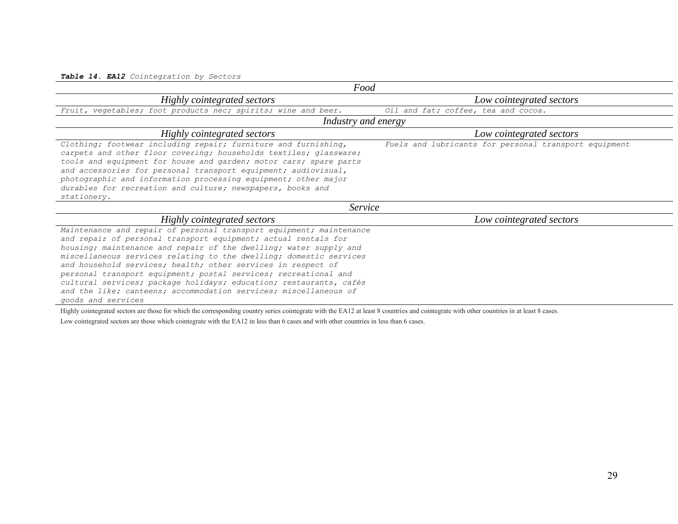### *Table 14. EA12 Cointegration by Sectors*

| Food                                                                                                                                                                                                                                                                                                                                                                                                                                                                                                                                                                                |                                                       |
|-------------------------------------------------------------------------------------------------------------------------------------------------------------------------------------------------------------------------------------------------------------------------------------------------------------------------------------------------------------------------------------------------------------------------------------------------------------------------------------------------------------------------------------------------------------------------------------|-------------------------------------------------------|
| Highly cointegrated sectors                                                                                                                                                                                                                                                                                                                                                                                                                                                                                                                                                         | Low cointegrated sectors                              |
| Fruit, vegetables; foot products nec; spirits; wine and beer.                                                                                                                                                                                                                                                                                                                                                                                                                                                                                                                       | Oil and fat; coffee, tea and cocoa.                   |
| Industry and energy                                                                                                                                                                                                                                                                                                                                                                                                                                                                                                                                                                 |                                                       |
| Highly cointegrated sectors                                                                                                                                                                                                                                                                                                                                                                                                                                                                                                                                                         | Low cointegrated sectors                              |
| Clothing; footwear including repair; furniture and furnishing,<br>carpets and other floor covering; households textiles; glassware;<br>tools and equipment for house and garden; motor cars; spare parts<br>and accessories for personal transport equipment; audiovisual,<br>photographic and information processing equipment; other major<br>durables for recreation and culture; newspapers, books and<br>stationery.                                                                                                                                                           | Fuels and lubricants for personal transport equipment |
| Service                                                                                                                                                                                                                                                                                                                                                                                                                                                                                                                                                                             |                                                       |
| Highly cointegrated sectors                                                                                                                                                                                                                                                                                                                                                                                                                                                                                                                                                         | Low cointegrated sectors                              |
| Maintenance and repair of personal transport equipment; maintenance<br>and repair of personal transport equipment; actual rentals for<br>housing; maintenance and repair of the dwelling; water supply and<br>miscellaneous services relating to the dwelling; domestic services<br>and household services; health; other services in respect of<br>personal transport equipment; postal services; recreational and<br>cultural services; package holidays; education; restaurants, cafés<br>and the like; canteens; accommodation services; miscellaneous of<br>goods and services |                                                       |

Highly cointegrated sectors are those for which the corresponding country series cointegrate with the EA12 at least 8 countries and cointegrate with other countries in at least 8 cases.

Low cointegrated sectors are those which cointegrate with the EA12 in less than 6 cases and with other countries in less than 6 cases.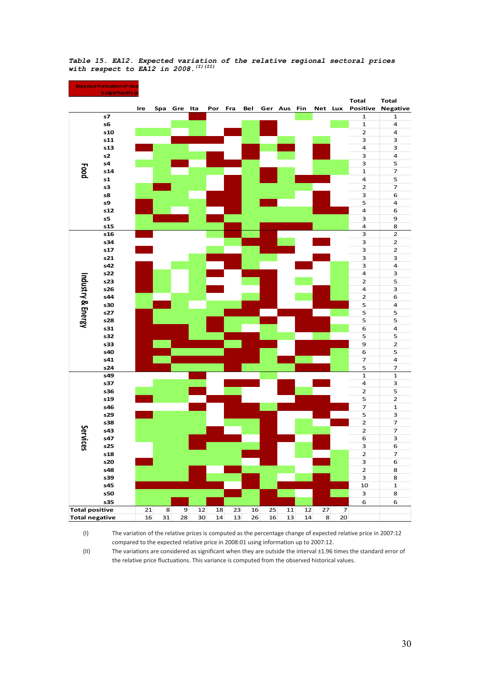

*Table 15. EA12. Expected variation of the relative regional sectoral prices with respect to EA12 in 2008.(I)(II)*

(I) The variation of the relative prices is computed as the percentage change of expected relative price in 2007:12 compared to the expected relative price in 2008:01 using information up to 2007:12.

(II) The variations are considered as significant when they are outside the interval ±1.96 times the standard error of the relative price fluctuations. This variance is computed from the observed historical values.